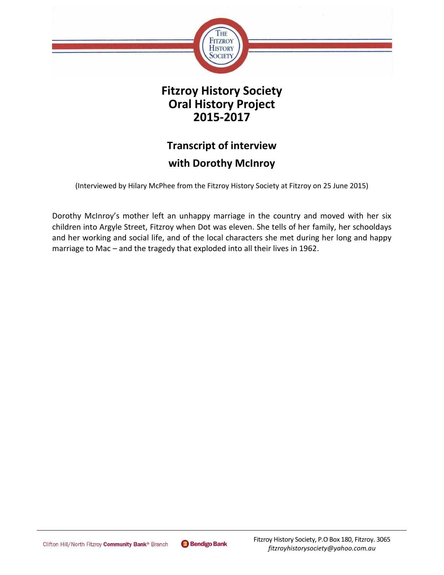

## **Fitzroy History Society Oral History Project 2015-2017**

# **Transcript of interview with Dorothy McInroy**

(Interviewed by Hilary McPhee from the Fitzroy History Society at Fitzroy on 25 June 2015)

Dorothy McInroy's mother left an unhappy marriage in the country and moved with her six children into Argyle Street, Fitzroy when Dot was eleven. She tells of her family, her schooldays and her working and social life, and of the local characters she met during her long and happy marriage to Mac – and the tragedy that exploded into all their lives in 1962.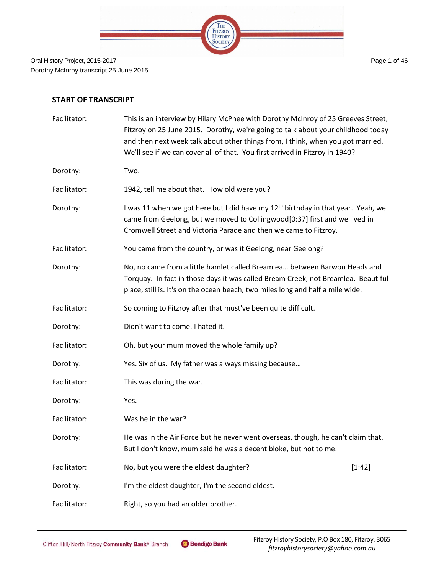

#### **START OF TRANSCRIPT**

| Facilitator: | This is an interview by Hilary McPhee with Dorothy McInroy of 25 Greeves Street,<br>Fitzroy on 25 June 2015. Dorothy, we're going to talk about your childhood today<br>and then next week talk about other things from, I think, when you got married.<br>We'll see if we can cover all of that. You first arrived in Fitzroy in 1940? |        |
|--------------|-----------------------------------------------------------------------------------------------------------------------------------------------------------------------------------------------------------------------------------------------------------------------------------------------------------------------------------------|--------|
| Dorothy:     | Two.                                                                                                                                                                                                                                                                                                                                    |        |
| Facilitator: | 1942, tell me about that. How old were you?                                                                                                                                                                                                                                                                                             |        |
| Dorothy:     | I was 11 when we got here but I did have my 12 <sup>th</sup> birthday in that year. Yeah, we<br>came from Geelong, but we moved to Collingwood[0:37] first and we lived in<br>Cromwell Street and Victoria Parade and then we came to Fitzroy.                                                                                          |        |
| Facilitator: | You came from the country, or was it Geelong, near Geelong?                                                                                                                                                                                                                                                                             |        |
| Dorothy:     | No, no came from a little hamlet called Breamlea between Barwon Heads and<br>Torquay. In fact in those days it was called Bream Creek, not Breamlea. Beautiful<br>place, still is. It's on the ocean beach, two miles long and half a mile wide.                                                                                        |        |
| Facilitator: | So coming to Fitzroy after that must've been quite difficult.                                                                                                                                                                                                                                                                           |        |
| Dorothy:     | Didn't want to come. I hated it.                                                                                                                                                                                                                                                                                                        |        |
| Facilitator: | Oh, but your mum moved the whole family up?                                                                                                                                                                                                                                                                                             |        |
| Dorothy:     | Yes. Six of us. My father was always missing because                                                                                                                                                                                                                                                                                    |        |
| Facilitator: | This was during the war.                                                                                                                                                                                                                                                                                                                |        |
| Dorothy:     | Yes.                                                                                                                                                                                                                                                                                                                                    |        |
| Facilitator: | Was he in the war?                                                                                                                                                                                                                                                                                                                      |        |
| Dorothy:     | He was in the Air Force but he never went overseas, though, he can't claim that.<br>But I don't know, mum said he was a decent bloke, but not to me.                                                                                                                                                                                    |        |
| Facilitator: | No, but you were the eldest daughter?                                                                                                                                                                                                                                                                                                   | [1:42] |
| Dorothy:     | I'm the eldest daughter, I'm the second eldest.                                                                                                                                                                                                                                                                                         |        |
| Facilitator: | Right, so you had an older brother.                                                                                                                                                                                                                                                                                                     |        |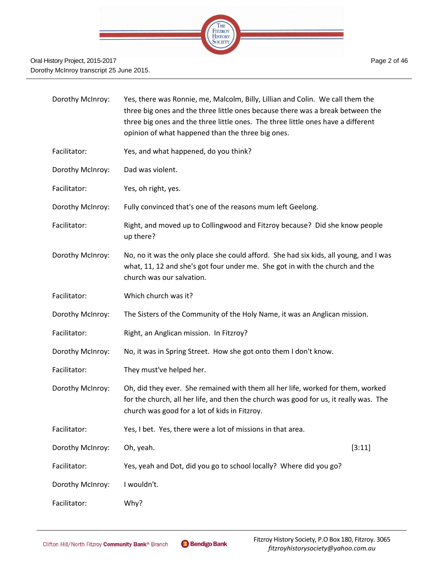

| Dorothy McInroy: | Yes, there was Ronnie, me, Malcolm, Billy, Lillian and Colin. We call them the<br>three big ones and the three little ones because there was a break between the<br>three big ones and the three little ones. The three little ones have a different<br>opinion of what happened than the three big ones. |  |
|------------------|-----------------------------------------------------------------------------------------------------------------------------------------------------------------------------------------------------------------------------------------------------------------------------------------------------------|--|
| Facilitator:     | Yes, and what happened, do you think?                                                                                                                                                                                                                                                                     |  |
| Dorothy McInroy: | Dad was violent.                                                                                                                                                                                                                                                                                          |  |
| Facilitator:     | Yes, oh right, yes.                                                                                                                                                                                                                                                                                       |  |
| Dorothy McInroy: | Fully convinced that's one of the reasons mum left Geelong.                                                                                                                                                                                                                                               |  |
| Facilitator:     | Right, and moved up to Collingwood and Fitzroy because? Did she know people<br>up there?                                                                                                                                                                                                                  |  |
| Dorothy McInroy: | No, no it was the only place she could afford. She had six kids, all young, and I was<br>what, 11, 12 and she's got four under me. She got in with the church and the<br>church was our salvation.                                                                                                        |  |
| Facilitator:     | Which church was it?                                                                                                                                                                                                                                                                                      |  |
| Dorothy McInroy: | The Sisters of the Community of the Holy Name, it was an Anglican mission.                                                                                                                                                                                                                                |  |
| Facilitator:     | Right, an Anglican mission. In Fitzroy?                                                                                                                                                                                                                                                                   |  |
| Dorothy McInroy: | No, it was in Spring Street. How she got onto them I don't know.                                                                                                                                                                                                                                          |  |
| Facilitator:     | They must've helped her.                                                                                                                                                                                                                                                                                  |  |
| Dorothy McInroy: | Oh, did they ever. She remained with them all her life, worked for them, worked<br>for the church, all her life, and then the church was good for us, it really was. The<br>church was good for a lot of kids in Fitzroy.                                                                                 |  |
| Facilitator:     | Yes, I bet. Yes, there were a lot of missions in that area.                                                                                                                                                                                                                                               |  |
| Dorothy McInroy: | Oh, yeah.<br>[3:11]                                                                                                                                                                                                                                                                                       |  |
| Facilitator:     | Yes, yeah and Dot, did you go to school locally? Where did you go?                                                                                                                                                                                                                                        |  |
| Dorothy McInroy: | I wouldn't.                                                                                                                                                                                                                                                                                               |  |
| Facilitator:     | Why?                                                                                                                                                                                                                                                                                                      |  |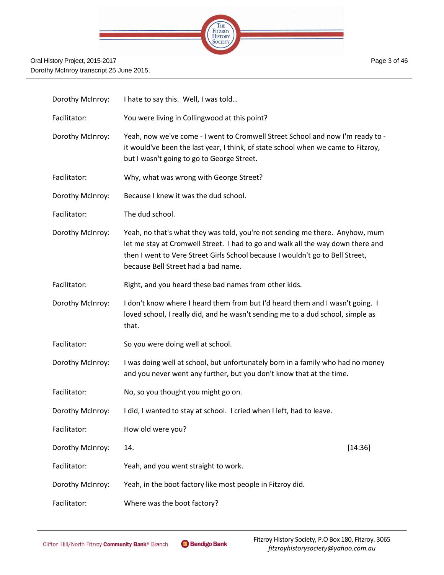

| Dorothy McInroy: | I hate to say this. Well, I was told                                                                                                                                                                                                                                                    |  |
|------------------|-----------------------------------------------------------------------------------------------------------------------------------------------------------------------------------------------------------------------------------------------------------------------------------------|--|
| Facilitator:     | You were living in Collingwood at this point?                                                                                                                                                                                                                                           |  |
| Dorothy McInroy: | Yeah, now we've come - I went to Cromwell Street School and now I'm ready to -<br>it would've been the last year, I think, of state school when we came to Fitzroy,<br>but I wasn't going to go to George Street.                                                                       |  |
| Facilitator:     | Why, what was wrong with George Street?                                                                                                                                                                                                                                                 |  |
| Dorothy McInroy: | Because I knew it was the dud school.                                                                                                                                                                                                                                                   |  |
| Facilitator:     | The dud school.                                                                                                                                                                                                                                                                         |  |
| Dorothy McInroy: | Yeah, no that's what they was told, you're not sending me there. Anyhow, mum<br>let me stay at Cromwell Street. I had to go and walk all the way down there and<br>then I went to Vere Street Girls School because I wouldn't go to Bell Street,<br>because Bell Street had a bad name. |  |
| Facilitator:     | Right, and you heard these bad names from other kids.                                                                                                                                                                                                                                   |  |
| Dorothy McInroy: | I don't know where I heard them from but I'd heard them and I wasn't going. I<br>loved school, I really did, and he wasn't sending me to a dud school, simple as<br>that.                                                                                                               |  |
| Facilitator:     | So you were doing well at school.                                                                                                                                                                                                                                                       |  |
| Dorothy McInroy: | I was doing well at school, but unfortunately born in a family who had no money<br>and you never went any further, but you don't know that at the time.                                                                                                                                 |  |
| Facilitator:     | No, so you thought you might go on.                                                                                                                                                                                                                                                     |  |
| Dorothy McInroy: | I did, I wanted to stay at school. I cried when I left, had to leave.                                                                                                                                                                                                                   |  |
| Facilitator:     | How old were you?                                                                                                                                                                                                                                                                       |  |
| Dorothy McInroy: | [14:36]<br>14.                                                                                                                                                                                                                                                                          |  |
| Facilitator:     | Yeah, and you went straight to work.                                                                                                                                                                                                                                                    |  |
| Dorothy McInroy: | Yeah, in the boot factory like most people in Fitzroy did.                                                                                                                                                                                                                              |  |
| Facilitator:     | Where was the boot factory?                                                                                                                                                                                                                                                             |  |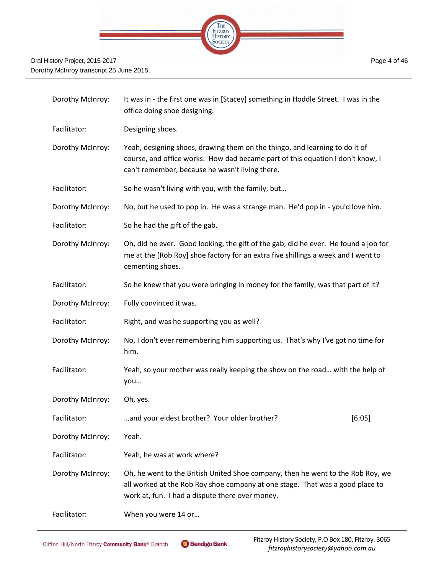

| Dorothy McInroy: | It was in - the first one was in [Stacey] something in Hoddle Street. I was in the<br>office doing shoe designing.                                                                                                  |  |
|------------------|---------------------------------------------------------------------------------------------------------------------------------------------------------------------------------------------------------------------|--|
| Facilitator:     | Designing shoes.                                                                                                                                                                                                    |  |
| Dorothy McInroy: | Yeah, designing shoes, drawing them on the thingo, and learning to do it of<br>course, and office works. How dad became part of this equation I don't know, I<br>can't remember, because he wasn't living there.    |  |
| Facilitator:     | So he wasn't living with you, with the family, but                                                                                                                                                                  |  |
| Dorothy McInroy: | No, but he used to pop in. He was a strange man. He'd pop in - you'd love him.                                                                                                                                      |  |
| Facilitator:     | So he had the gift of the gab.                                                                                                                                                                                      |  |
| Dorothy McInroy: | Oh, did he ever. Good looking, the gift of the gab, did he ever. He found a job for<br>me at the [Rob Roy] shoe factory for an extra five shillings a week and I went to<br>cementing shoes.                        |  |
| Facilitator:     | So he knew that you were bringing in money for the family, was that part of it?                                                                                                                                     |  |
| Dorothy McInroy: | Fully convinced it was.                                                                                                                                                                                             |  |
| Facilitator:     | Right, and was he supporting you as well?                                                                                                                                                                           |  |
| Dorothy McInroy: | No, I don't ever remembering him supporting us. That's why I've got no time for<br>him.                                                                                                                             |  |
| Facilitator:     | Yeah, so your mother was really keeping the show on the road with the help of<br>you                                                                                                                                |  |
| Dorothy McInroy: | Oh, yes.                                                                                                                                                                                                            |  |
| Facilitator:     | and your eldest brother? Your older brother?<br>[6:05]                                                                                                                                                              |  |
| Dorothy McInroy: | Yeah.                                                                                                                                                                                                               |  |
| Facilitator:     | Yeah, he was at work where?                                                                                                                                                                                         |  |
| Dorothy McInroy: | Oh, he went to the British United Shoe company, then he went to the Rob Roy, we<br>all worked at the Rob Roy shoe company at one stage. That was a good place to<br>work at, fun. I had a dispute there over money. |  |
| Facilitator:     | When you were 14 or                                                                                                                                                                                                 |  |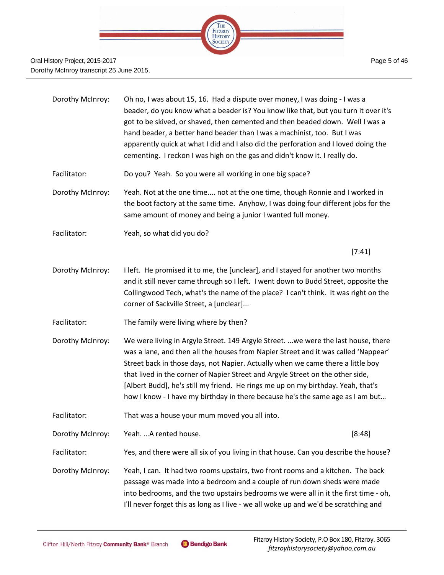

- Dorothy McInroy: Oh no, I was about 15, 16. Had a dispute over money, I was doing I was a beader, do you know what a beader is? You know like that, but you turn it over it's got to be skived, or shaved, then cemented and then beaded down. Well I was a hand beader, a better hand beader than I was a machinist, too. But I was apparently quick at what I did and I also did the perforation and I loved doing the cementing. I reckon I was high on the gas and didn't know it. I really do. Facilitator: Do you? Yeah. So you were all working in one big space?
- Dorothy McInroy: Yeah. Not at the one time.... not at the one time, though Ronnie and I worked in the boot factory at the same time. Anyhow, I was doing four different jobs for the same amount of money and being a junior I wanted full money.
- Facilitator: Yeah, so what did you do?

[7:41]

- Dorothy McInroy: I left. He promised it to me, the [unclear], and I stayed for another two months and it still never came through so I left. I went down to Budd Street, opposite the Collingwood Tech, what's the name of the place? I can't think. It was right on the corner of Sackville Street, a [unclear]...
- Facilitator: The family were living where by then?
- Dorothy McInroy: We were living in Argyle Street. 149 Argyle Street. ...we were the last house, there was a lane, and then all the houses from Napier Street and it was called 'Nappear' Street back in those days, not Napier. Actually when we came there a little boy that lived in the corner of Napier Street and Argyle Street on the other side, [Albert Budd], he's still my friend. He rings me up on my birthday. Yeah, that's how I know - I have my birthday in there because he's the same age as I am but…
- Facilitator: That was a house your mum moved you all into.
- Dorothy McInroy: Yeah. …A rented house. [8:48]
- Facilitator: Yes, and there were all six of you living in that house. Can you describe the house?
- Dorothy McInroy: Yeah, I can. It had two rooms upstairs, two front rooms and a kitchen. The back passage was made into a bedroom and a couple of run down sheds were made into bedrooms, and the two upstairs bedrooms we were all in it the first time - oh, I'll never forget this as long as I live - we all woke up and we'd be scratching and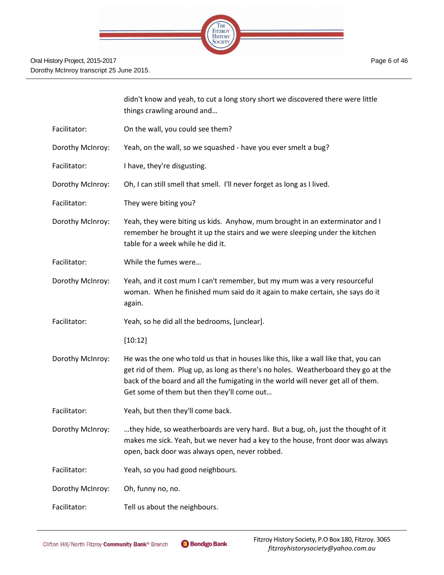

|                  | didn't know and yeah, to cut a long story short we discovered there were little<br>things crawling around and                                                                                                                                                                                                |
|------------------|--------------------------------------------------------------------------------------------------------------------------------------------------------------------------------------------------------------------------------------------------------------------------------------------------------------|
| Facilitator:     | On the wall, you could see them?                                                                                                                                                                                                                                                                             |
| Dorothy McInroy: | Yeah, on the wall, so we squashed - have you ever smelt a bug?                                                                                                                                                                                                                                               |
| Facilitator:     | I have, they're disgusting.                                                                                                                                                                                                                                                                                  |
| Dorothy McInroy: | Oh, I can still smell that smell. I'll never forget as long as I lived.                                                                                                                                                                                                                                      |
| Facilitator:     | They were biting you?                                                                                                                                                                                                                                                                                        |
| Dorothy McInroy: | Yeah, they were biting us kids. Anyhow, mum brought in an exterminator and I<br>remember he brought it up the stairs and we were sleeping under the kitchen<br>table for a week while he did it.                                                                                                             |
| Facilitator:     | While the fumes were                                                                                                                                                                                                                                                                                         |
| Dorothy McInroy: | Yeah, and it cost mum I can't remember, but my mum was a very resourceful<br>woman. When he finished mum said do it again to make certain, she says do it<br>again.                                                                                                                                          |
| Facilitator:     | Yeah, so he did all the bedrooms, [unclear].                                                                                                                                                                                                                                                                 |
|                  | [10:12]                                                                                                                                                                                                                                                                                                      |
| Dorothy McInroy: | He was the one who told us that in houses like this, like a wall like that, you can<br>get rid of them. Plug up, as long as there's no holes. Weatherboard they go at the<br>back of the board and all the fumigating in the world will never get all of them.<br>Get some of them but then they'll come out |
| Facilitator:     | Yeah, but then they'll come back.                                                                                                                                                                                                                                                                            |
| Dorothy McInroy: | they hide, so weatherboards are very hard. But a bug, oh, just the thought of it<br>makes me sick. Yeah, but we never had a key to the house, front door was always<br>open, back door was always open, never robbed.                                                                                        |
| Facilitator:     | Yeah, so you had good neighbours.                                                                                                                                                                                                                                                                            |
| Dorothy McInroy: | Oh, funny no, no.                                                                                                                                                                                                                                                                                            |
| Facilitator:     | Tell us about the neighbours.                                                                                                                                                                                                                                                                                |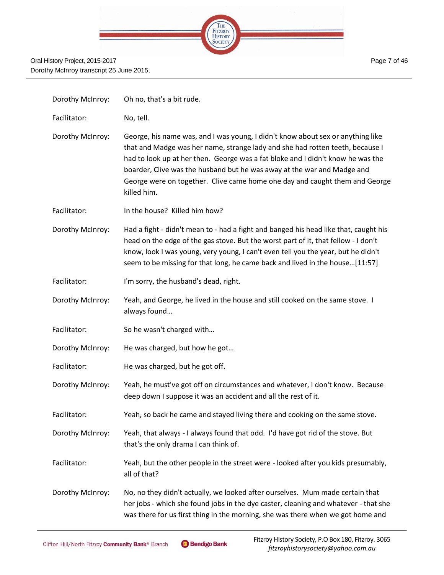|  | THE                              |  |
|--|----------------------------------|--|
|  | <b>FITZROY</b><br><b>HISTORY</b> |  |
|  |                                  |  |
|  |                                  |  |
|  |                                  |  |

| Dorothy McInroy: | Oh no, that's a bit rude.                                                                                                                                                                                                                                                                                                                                                                                                    |
|------------------|------------------------------------------------------------------------------------------------------------------------------------------------------------------------------------------------------------------------------------------------------------------------------------------------------------------------------------------------------------------------------------------------------------------------------|
| Facilitator:     | No, tell.                                                                                                                                                                                                                                                                                                                                                                                                                    |
| Dorothy McInroy: | George, his name was, and I was young, I didn't know about sex or anything like<br>that and Madge was her name, strange lady and she had rotten teeth, because I<br>had to look up at her then. George was a fat bloke and I didn't know he was the<br>boarder, Clive was the husband but he was away at the war and Madge and<br>George were on together. Clive came home one day and caught them and George<br>killed him. |
| Facilitator:     | In the house? Killed him how?                                                                                                                                                                                                                                                                                                                                                                                                |
| Dorothy McInroy: | Had a fight - didn't mean to - had a fight and banged his head like that, caught his<br>head on the edge of the gas stove. But the worst part of it, that fellow - I don't<br>know, look I was young, very young, I can't even tell you the year, but he didn't<br>seem to be missing for that long, he came back and lived in the house[11:57]                                                                              |
| Facilitator:     | I'm sorry, the husband's dead, right.                                                                                                                                                                                                                                                                                                                                                                                        |
| Dorothy McInroy: | Yeah, and George, he lived in the house and still cooked on the same stove. I<br>always found                                                                                                                                                                                                                                                                                                                                |
| Facilitator:     | So he wasn't charged with                                                                                                                                                                                                                                                                                                                                                                                                    |
| Dorothy McInroy: | He was charged, but how he got                                                                                                                                                                                                                                                                                                                                                                                               |
| Facilitator:     | He was charged, but he got off.                                                                                                                                                                                                                                                                                                                                                                                              |
| Dorothy McInroy: | Yeah, he must've got off on circumstances and whatever, I don't know. Because<br>deep down I suppose it was an accident and all the rest of it.                                                                                                                                                                                                                                                                              |
| Facilitator:     | Yeah, so back he came and stayed living there and cooking on the same stove.                                                                                                                                                                                                                                                                                                                                                 |
| Dorothy McInroy: | Yeah, that always - I always found that odd. I'd have got rid of the stove. But<br>that's the only drama I can think of.                                                                                                                                                                                                                                                                                                     |
| Facilitator:     | Yeah, but the other people in the street were - looked after you kids presumably,<br>all of that?                                                                                                                                                                                                                                                                                                                            |
| Dorothy McInroy: | No, no they didn't actually, we looked after ourselves. Mum made certain that<br>her jobs - which she found jobs in the dye caster, cleaning and whatever - that she<br>was there for us first thing in the morning, she was there when we got home and                                                                                                                                                                      |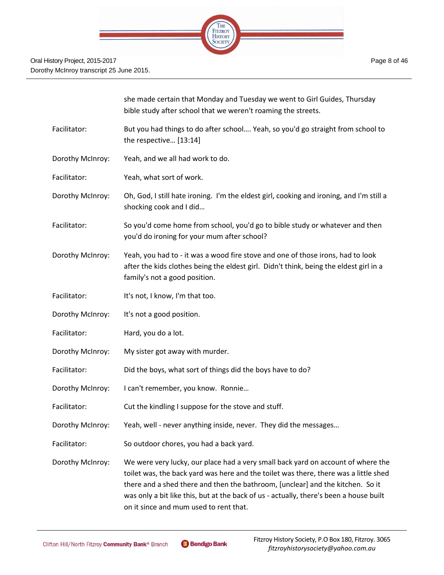

|                  | she made certain that Monday and Tuesday we went to Girl Guides, Thursday<br>bible study after school that we weren't roaming the streets.                                                                                                                                                                                                                                                     |
|------------------|------------------------------------------------------------------------------------------------------------------------------------------------------------------------------------------------------------------------------------------------------------------------------------------------------------------------------------------------------------------------------------------------|
| Facilitator:     | But you had things to do after school Yeah, so you'd go straight from school to<br>the respective [13:14]                                                                                                                                                                                                                                                                                      |
| Dorothy McInroy: | Yeah, and we all had work to do.                                                                                                                                                                                                                                                                                                                                                               |
| Facilitator:     | Yeah, what sort of work.                                                                                                                                                                                                                                                                                                                                                                       |
| Dorothy McInroy: | Oh, God, I still hate ironing. I'm the eldest girl, cooking and ironing, and I'm still a<br>shocking cook and I did                                                                                                                                                                                                                                                                            |
| Facilitator:     | So you'd come home from school, you'd go to bible study or whatever and then<br>you'd do ironing for your mum after school?                                                                                                                                                                                                                                                                    |
| Dorothy McInroy: | Yeah, you had to - it was a wood fire stove and one of those irons, had to look<br>after the kids clothes being the eldest girl. Didn't think, being the eldest girl in a<br>family's not a good position.                                                                                                                                                                                     |
| Facilitator:     | It's not, I know, I'm that too.                                                                                                                                                                                                                                                                                                                                                                |
| Dorothy McInroy: | It's not a good position.                                                                                                                                                                                                                                                                                                                                                                      |
| Facilitator:     | Hard, you do a lot.                                                                                                                                                                                                                                                                                                                                                                            |
| Dorothy McInroy: | My sister got away with murder.                                                                                                                                                                                                                                                                                                                                                                |
| Facilitator:     | Did the boys, what sort of things did the boys have to do?                                                                                                                                                                                                                                                                                                                                     |
| Dorothy McInroy: | I can't remember, you know. Ronnie                                                                                                                                                                                                                                                                                                                                                             |
| Facilitator:     | Cut the kindling I suppose for the stove and stuff.                                                                                                                                                                                                                                                                                                                                            |
| Dorothy McInroy: | Yeah, well - never anything inside, never. They did the messages                                                                                                                                                                                                                                                                                                                               |
| Facilitator:     | So outdoor chores, you had a back yard.                                                                                                                                                                                                                                                                                                                                                        |
| Dorothy McInroy: | We were very lucky, our place had a very small back yard on account of where the<br>toilet was, the back yard was here and the toilet was there, there was a little shed<br>there and a shed there and then the bathroom, [unclear] and the kitchen. So it<br>was only a bit like this, but at the back of us - actually, there's been a house built<br>on it since and mum used to rent that. |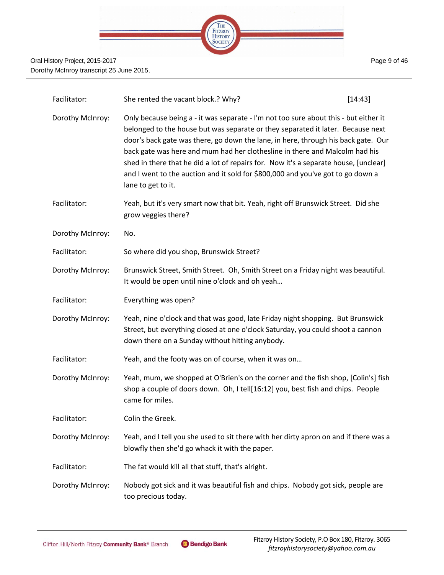

| Facilitator:     | She rented the vacant block.? Why?                                                                                                                                                                                                                                                                                                                                                                                                                                                                                                           | [14:43] |
|------------------|----------------------------------------------------------------------------------------------------------------------------------------------------------------------------------------------------------------------------------------------------------------------------------------------------------------------------------------------------------------------------------------------------------------------------------------------------------------------------------------------------------------------------------------------|---------|
| Dorothy McInroy: | Only because being a - it was separate - I'm not too sure about this - but either it<br>belonged to the house but was separate or they separated it later. Because next<br>door's back gate was there, go down the lane, in here, through his back gate. Our<br>back gate was here and mum had her clothesline in there and Malcolm had his<br>shed in there that he did a lot of repairs for. Now it's a separate house, [unclear]<br>and I went to the auction and it sold for \$800,000 and you've got to go down a<br>lane to get to it. |         |
| Facilitator:     | Yeah, but it's very smart now that bit. Yeah, right off Brunswick Street. Did she<br>grow veggies there?                                                                                                                                                                                                                                                                                                                                                                                                                                     |         |
| Dorothy McInroy: | No.                                                                                                                                                                                                                                                                                                                                                                                                                                                                                                                                          |         |
| Facilitator:     | So where did you shop, Brunswick Street?                                                                                                                                                                                                                                                                                                                                                                                                                                                                                                     |         |
| Dorothy McInroy: | Brunswick Street, Smith Street. Oh, Smith Street on a Friday night was beautiful.<br>It would be open until nine o'clock and oh yeah                                                                                                                                                                                                                                                                                                                                                                                                         |         |
| Facilitator:     | Everything was open?                                                                                                                                                                                                                                                                                                                                                                                                                                                                                                                         |         |
| Dorothy McInroy: | Yeah, nine o'clock and that was good, late Friday night shopping. But Brunswick<br>Street, but everything closed at one o'clock Saturday, you could shoot a cannon<br>down there on a Sunday without hitting anybody.                                                                                                                                                                                                                                                                                                                        |         |
| Facilitator:     | Yeah, and the footy was on of course, when it was on                                                                                                                                                                                                                                                                                                                                                                                                                                                                                         |         |
| Dorothy McInroy: | Yeah, mum, we shopped at O'Brien's on the corner and the fish shop, [Colin's] fish<br>shop a couple of doors down. Oh, I tell[16:12] you, best fish and chips. People<br>came for miles.                                                                                                                                                                                                                                                                                                                                                     |         |
| Facilitator:     | Colin the Greek.                                                                                                                                                                                                                                                                                                                                                                                                                                                                                                                             |         |
| Dorothy McInroy: | Yeah, and I tell you she used to sit there with her dirty apron on and if there was a<br>blowfly then she'd go whack it with the paper.                                                                                                                                                                                                                                                                                                                                                                                                      |         |
| Facilitator:     | The fat would kill all that stuff, that's alright.                                                                                                                                                                                                                                                                                                                                                                                                                                                                                           |         |
| Dorothy McInroy: | Nobody got sick and it was beautiful fish and chips. Nobody got sick, people are<br>too precious today.                                                                                                                                                                                                                                                                                                                                                                                                                                      |         |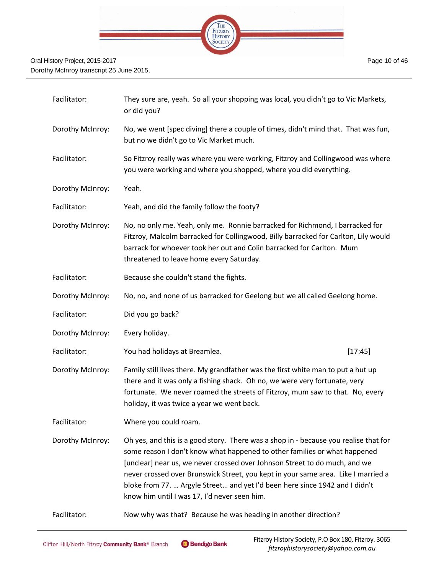

| Facilitator:     | They sure are, yeah. So all your shopping was local, you didn't go to Vic Markets,<br>or did you?                                                                                                                                                                                                                                                                                                                                                                   |  |
|------------------|---------------------------------------------------------------------------------------------------------------------------------------------------------------------------------------------------------------------------------------------------------------------------------------------------------------------------------------------------------------------------------------------------------------------------------------------------------------------|--|
| Dorothy McInroy: | No, we went [spec diving] there a couple of times, didn't mind that. That was fun,<br>but no we didn't go to Vic Market much.                                                                                                                                                                                                                                                                                                                                       |  |
| Facilitator:     | So Fitzroy really was where you were working, Fitzroy and Collingwood was where<br>you were working and where you shopped, where you did everything.                                                                                                                                                                                                                                                                                                                |  |
| Dorothy McInroy: | Yeah.                                                                                                                                                                                                                                                                                                                                                                                                                                                               |  |
| Facilitator:     | Yeah, and did the family follow the footy?                                                                                                                                                                                                                                                                                                                                                                                                                          |  |
| Dorothy McInroy: | No, no only me. Yeah, only me. Ronnie barracked for Richmond, I barracked for<br>Fitzroy, Malcolm barracked for Collingwood, Billy barracked for Carlton, Lily would<br>barrack for whoever took her out and Colin barracked for Carlton. Mum<br>threatened to leave home every Saturday.                                                                                                                                                                           |  |
| Facilitator:     | Because she couldn't stand the fights.                                                                                                                                                                                                                                                                                                                                                                                                                              |  |
| Dorothy McInroy: | No, no, and none of us barracked for Geelong but we all called Geelong home.                                                                                                                                                                                                                                                                                                                                                                                        |  |
| Facilitator:     | Did you go back?                                                                                                                                                                                                                                                                                                                                                                                                                                                    |  |
| Dorothy McInroy: | Every holiday.                                                                                                                                                                                                                                                                                                                                                                                                                                                      |  |
| Facilitator:     | You had holidays at Breamlea.<br>[17:45]                                                                                                                                                                                                                                                                                                                                                                                                                            |  |
| Dorothy McInroy: | Family still lives there. My grandfather was the first white man to put a hut up<br>there and it was only a fishing shack. Oh no, we were very fortunate, very<br>fortunate. We never roamed the streets of Fitzroy, mum saw to that. No, every<br>holiday, it was twice a year we went back.                                                                                                                                                                       |  |
| Facilitator:     | Where you could roam.                                                                                                                                                                                                                                                                                                                                                                                                                                               |  |
| Dorothy McInroy: | Oh yes, and this is a good story. There was a shop in - because you realise that for<br>some reason I don't know what happened to other families or what happened<br>[unclear] near us, we never crossed over Johnson Street to do much, and we<br>never crossed over Brunswick Street, you kept in your same area. Like I married a<br>bloke from 77.  Argyle Street and yet I'd been here since 1942 and I didn't<br>know him until I was 17, I'd never seen him. |  |
| Facilitator:     | Now why was that? Because he was heading in another direction?                                                                                                                                                                                                                                                                                                                                                                                                      |  |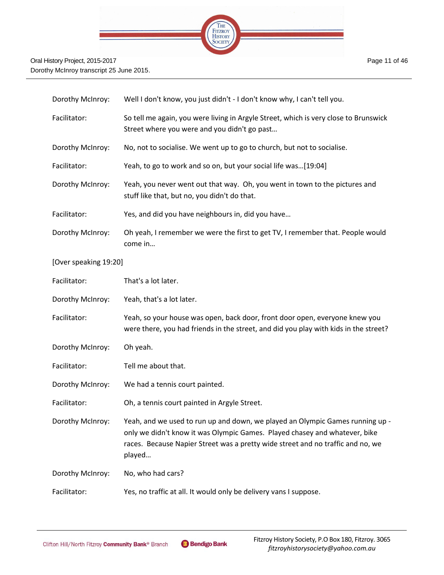

| Dorothy McInroy:      | Well I don't know, you just didn't - I don't know why, I can't tell you.                                                                                                                                                                                 |
|-----------------------|----------------------------------------------------------------------------------------------------------------------------------------------------------------------------------------------------------------------------------------------------------|
| Facilitator:          | So tell me again, you were living in Argyle Street, which is very close to Brunswick<br>Street where you were and you didn't go past                                                                                                                     |
| Dorothy McInroy:      | No, not to socialise. We went up to go to church, but not to socialise.                                                                                                                                                                                  |
| Facilitator:          | Yeah, to go to work and so on, but your social life was[19:04]                                                                                                                                                                                           |
| Dorothy McInroy:      | Yeah, you never went out that way. Oh, you went in town to the pictures and<br>stuff like that, but no, you didn't do that.                                                                                                                              |
| Facilitator:          | Yes, and did you have neighbours in, did you have                                                                                                                                                                                                        |
| Dorothy McInroy:      | Oh yeah, I remember we were the first to get TV, I remember that. People would<br>come in                                                                                                                                                                |
| [Over speaking 19:20] |                                                                                                                                                                                                                                                          |
| Facilitator:          | That's a lot later.                                                                                                                                                                                                                                      |
| Dorothy McInroy:      | Yeah, that's a lot later.                                                                                                                                                                                                                                |
| Facilitator:          | Yeah, so your house was open, back door, front door open, everyone knew you<br>were there, you had friends in the street, and did you play with kids in the street?                                                                                      |
| Dorothy McInroy:      | Oh yeah.                                                                                                                                                                                                                                                 |
| Facilitator:          | Tell me about that.                                                                                                                                                                                                                                      |
| Dorothy McInroy:      | We had a tennis court painted.                                                                                                                                                                                                                           |
| Facilitator:          | Oh, a tennis court painted in Argyle Street.                                                                                                                                                                                                             |
| Dorothy McInroy:      | Yeah, and we used to run up and down, we played an Olympic Games running up -<br>only we didn't know it was Olympic Games. Played chasey and whatever, bike<br>races. Because Napier Street was a pretty wide street and no traffic and no, we<br>played |
| Dorothy McInroy:      | No, who had cars?                                                                                                                                                                                                                                        |
| Facilitator:          | Yes, no traffic at all. It would only be delivery vans I suppose.                                                                                                                                                                                        |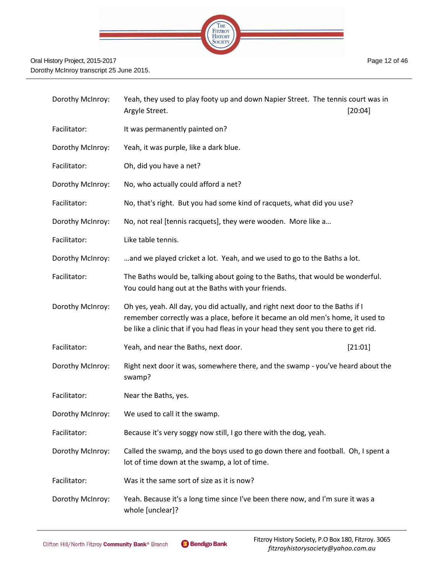

| Dorothy McInroy: | Yeah, they used to play footy up and down Napier Street. The tennis court was in<br>Argyle Street.<br>[20:04]                                                                                                                                           |
|------------------|---------------------------------------------------------------------------------------------------------------------------------------------------------------------------------------------------------------------------------------------------------|
| Facilitator:     | It was permanently painted on?                                                                                                                                                                                                                          |
| Dorothy McInroy: | Yeah, it was purple, like a dark blue.                                                                                                                                                                                                                  |
| Facilitator:     | Oh, did you have a net?                                                                                                                                                                                                                                 |
| Dorothy McInroy: | No, who actually could afford a net?                                                                                                                                                                                                                    |
| Facilitator:     | No, that's right. But you had some kind of racquets, what did you use?                                                                                                                                                                                  |
| Dorothy McInroy: | No, not real [tennis racquets], they were wooden. More like a                                                                                                                                                                                           |
| Facilitator:     | Like table tennis.                                                                                                                                                                                                                                      |
| Dorothy McInroy: | and we played cricket a lot. Yeah, and we used to go to the Baths a lot.                                                                                                                                                                                |
| Facilitator:     | The Baths would be, talking about going to the Baths, that would be wonderful.<br>You could hang out at the Baths with your friends.                                                                                                                    |
| Dorothy McInroy: | Oh yes, yeah. All day, you did actually, and right next door to the Baths if I<br>remember correctly was a place, before it became an old men's home, it used to<br>be like a clinic that if you had fleas in your head they sent you there to get rid. |
| Facilitator:     | Yeah, and near the Baths, next door.<br>[21:01]                                                                                                                                                                                                         |
| Dorothy McInroy: | Right next door it was, somewhere there, and the swamp - you've heard about the<br>swamp?                                                                                                                                                               |
| Facilitator:     | Near the Baths, yes.                                                                                                                                                                                                                                    |
| Dorothy McInroy: | We used to call it the swamp.                                                                                                                                                                                                                           |
| Facilitator:     | Because it's very soggy now still, I go there with the dog, yeah.                                                                                                                                                                                       |
| Dorothy McInroy: | Called the swamp, and the boys used to go down there and football. Oh, I spent a<br>lot of time down at the swamp, a lot of time.                                                                                                                       |
| Facilitator:     | Was it the same sort of size as it is now?                                                                                                                                                                                                              |
| Dorothy McInroy: | Yeah. Because it's a long time since I've been there now, and I'm sure it was a<br>whole [unclear]?                                                                                                                                                     |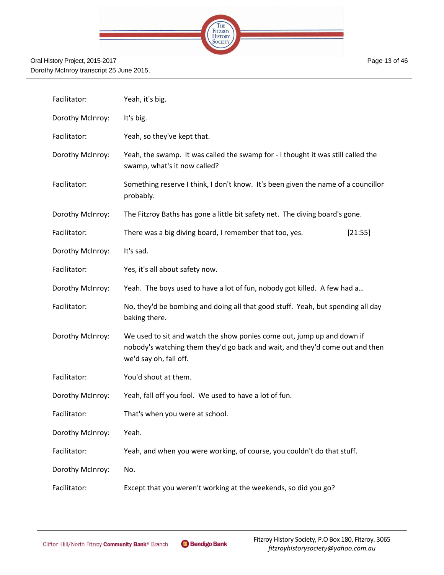|  | THE<br>FITZROY<br>HISTORY<br>SOCIETY |  |
|--|--------------------------------------|--|
|  |                                      |  |
|  |                                      |  |

| Facilitator:     | Yeah, it's big.                                                                                                                                                                  |  |  |
|------------------|----------------------------------------------------------------------------------------------------------------------------------------------------------------------------------|--|--|
| Dorothy McInroy: | It's big.                                                                                                                                                                        |  |  |
| Facilitator:     | Yeah, so they've kept that.                                                                                                                                                      |  |  |
| Dorothy McInroy: | Yeah, the swamp. It was called the swamp for - I thought it was still called the<br>swamp, what's it now called?                                                                 |  |  |
| Facilitator:     | Something reserve I think, I don't know. It's been given the name of a councillor<br>probably.                                                                                   |  |  |
| Dorothy McInroy: | The Fitzroy Baths has gone a little bit safety net. The diving board's gone.                                                                                                     |  |  |
| Facilitator:     | There was a big diving board, I remember that too, yes.<br>[21:55]                                                                                                               |  |  |
| Dorothy McInroy: | It's sad.                                                                                                                                                                        |  |  |
| Facilitator:     | Yes, it's all about safety now.                                                                                                                                                  |  |  |
| Dorothy McInroy: | Yeah. The boys used to have a lot of fun, nobody got killed. A few had a                                                                                                         |  |  |
| Facilitator:     | No, they'd be bombing and doing all that good stuff. Yeah, but spending all day<br>baking there.                                                                                 |  |  |
| Dorothy McInroy: | We used to sit and watch the show ponies come out, jump up and down if<br>nobody's watching them they'd go back and wait, and they'd come out and then<br>we'd say oh, fall off. |  |  |
| Facilitator:     | You'd shout at them.                                                                                                                                                             |  |  |
| Dorothy McInroy: | Yeah, fall off you fool. We used to have a lot of fun.                                                                                                                           |  |  |
| Facilitator:     | That's when you were at school.                                                                                                                                                  |  |  |
| Dorothy McInroy: | Yeah.                                                                                                                                                                            |  |  |
| Facilitator:     | Yeah, and when you were working, of course, you couldn't do that stuff.                                                                                                          |  |  |
| Dorothy McInroy: | No.                                                                                                                                                                              |  |  |
| Facilitator:     | Except that you weren't working at the weekends, so did you go?                                                                                                                  |  |  |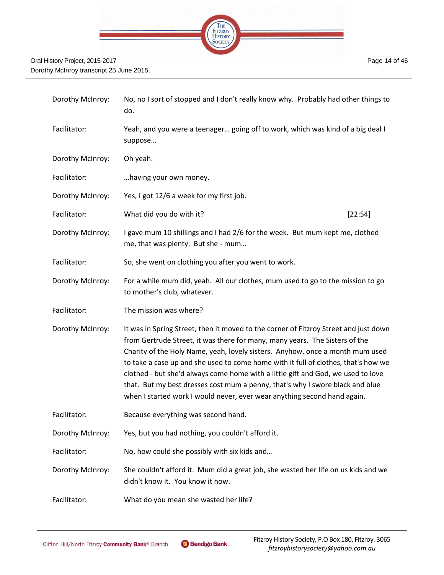

| Dorothy McInroy: | No, no I sort of stopped and I don't really know why. Probably had other things to<br>do.                                                                                                                                                                                                                                                                                                                                                                                                                                                                                                   |
|------------------|---------------------------------------------------------------------------------------------------------------------------------------------------------------------------------------------------------------------------------------------------------------------------------------------------------------------------------------------------------------------------------------------------------------------------------------------------------------------------------------------------------------------------------------------------------------------------------------------|
| Facilitator:     | Yeah, and you were a teenager going off to work, which was kind of a big deal I<br>suppose                                                                                                                                                                                                                                                                                                                                                                                                                                                                                                  |
| Dorothy McInroy: | Oh yeah.                                                                                                                                                                                                                                                                                                                                                                                                                                                                                                                                                                                    |
| Facilitator:     | having your own money.                                                                                                                                                                                                                                                                                                                                                                                                                                                                                                                                                                      |
| Dorothy McInroy: | Yes, I got 12/6 a week for my first job.                                                                                                                                                                                                                                                                                                                                                                                                                                                                                                                                                    |
| Facilitator:     | What did you do with it?<br>[22:54]                                                                                                                                                                                                                                                                                                                                                                                                                                                                                                                                                         |
| Dorothy McInroy: | I gave mum 10 shillings and I had 2/6 for the week. But mum kept me, clothed<br>me, that was plenty. But she - mum                                                                                                                                                                                                                                                                                                                                                                                                                                                                          |
| Facilitator:     | So, she went on clothing you after you went to work.                                                                                                                                                                                                                                                                                                                                                                                                                                                                                                                                        |
| Dorothy McInroy: | For a while mum did, yeah. All our clothes, mum used to go to the mission to go<br>to mother's club, whatever.                                                                                                                                                                                                                                                                                                                                                                                                                                                                              |
| Facilitator:     | The mission was where?                                                                                                                                                                                                                                                                                                                                                                                                                                                                                                                                                                      |
| Dorothy McInroy: | It was in Spring Street, then it moved to the corner of Fitzroy Street and just down<br>from Gertrude Street, it was there for many, many years. The Sisters of the<br>Charity of the Holy Name, yeah, lovely sisters. Anyhow, once a month mum used<br>to take a case up and she used to come home with it full of clothes, that's how we<br>clothed - but she'd always come home with a little gift and God, we used to love<br>that. But my best dresses cost mum a penny, that's why I swore black and blue<br>when I started work I would never, ever wear anything second hand again. |
| Facilitator:     | Because everything was second hand.                                                                                                                                                                                                                                                                                                                                                                                                                                                                                                                                                         |
| Dorothy McInroy: | Yes, but you had nothing, you couldn't afford it.                                                                                                                                                                                                                                                                                                                                                                                                                                                                                                                                           |
| Facilitator:     | No, how could she possibly with six kids and                                                                                                                                                                                                                                                                                                                                                                                                                                                                                                                                                |
| Dorothy McInroy: | She couldn't afford it. Mum did a great job, she wasted her life on us kids and we<br>didn't know it. You know it now.                                                                                                                                                                                                                                                                                                                                                                                                                                                                      |
| Facilitator:     | What do you mean she wasted her life?                                                                                                                                                                                                                                                                                                                                                                                                                                                                                                                                                       |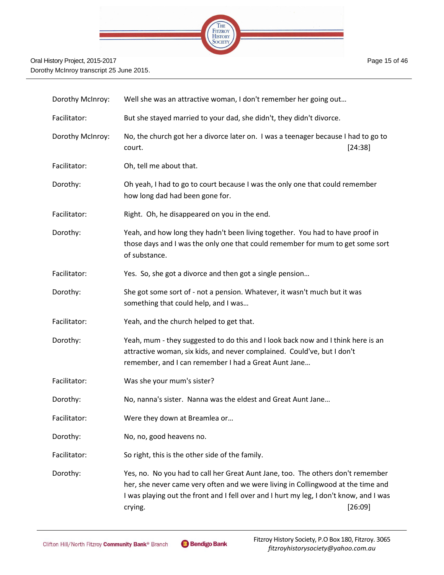

| Dorothy McInroy: | Well she was an attractive woman, I don't remember her going out                                                                                                                                                                                                         |         |
|------------------|--------------------------------------------------------------------------------------------------------------------------------------------------------------------------------------------------------------------------------------------------------------------------|---------|
| Facilitator:     | But she stayed married to your dad, she didn't, they didn't divorce.                                                                                                                                                                                                     |         |
| Dorothy McInroy: | No, the church got her a divorce later on. I was a teenager because I had to go to<br>court.                                                                                                                                                                             | [24:38] |
| Facilitator:     | Oh, tell me about that.                                                                                                                                                                                                                                                  |         |
| Dorothy:         | Oh yeah, I had to go to court because I was the only one that could remember<br>how long dad had been gone for.                                                                                                                                                          |         |
| Facilitator:     | Right. Oh, he disappeared on you in the end.                                                                                                                                                                                                                             |         |
| Dorothy:         | Yeah, and how long they hadn't been living together. You had to have proof in<br>those days and I was the only one that could remember for mum to get some sort<br>of substance.                                                                                         |         |
| Facilitator:     | Yes. So, she got a divorce and then got a single pension                                                                                                                                                                                                                 |         |
| Dorothy:         | She got some sort of - not a pension. Whatever, it wasn't much but it was<br>something that could help, and I was                                                                                                                                                        |         |
| Facilitator:     | Yeah, and the church helped to get that.                                                                                                                                                                                                                                 |         |
| Dorothy:         | Yeah, mum - they suggested to do this and I look back now and I think here is an<br>attractive woman, six kids, and never complained. Could've, but I don't<br>remember, and I can remember I had a Great Aunt Jane                                                      |         |
| Facilitator:     | Was she your mum's sister?                                                                                                                                                                                                                                               |         |
| Dorothy:         | No, nanna's sister. Nanna was the eldest and Great Aunt Jane                                                                                                                                                                                                             |         |
| Facilitator:     | Were they down at Breamlea or                                                                                                                                                                                                                                            |         |
| Dorothy:         | No, no, good heavens no.                                                                                                                                                                                                                                                 |         |
| Facilitator:     | So right, this is the other side of the family.                                                                                                                                                                                                                          |         |
| Dorothy:         | Yes, no. No you had to call her Great Aunt Jane, too. The others don't remember<br>her, she never came very often and we were living in Collingwood at the time and<br>I was playing out the front and I fell over and I hurt my leg, I don't know, and I was<br>crying. | [26:09] |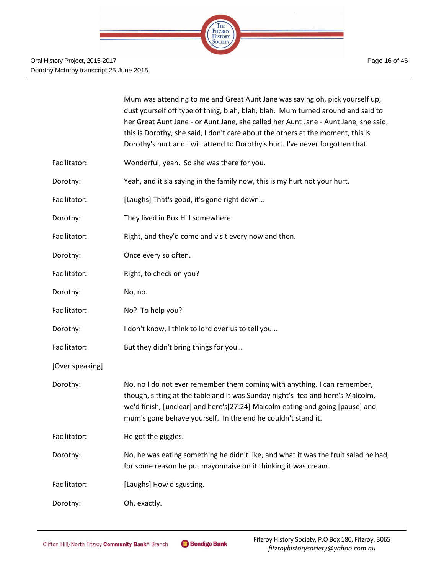|                 | Mum was attending to me and Great Aunt Jane was saying oh, pick yourself up,<br>dust yourself off type of thing, blah, blah, blah. Mum turned around and said to<br>her Great Aunt Jane - or Aunt Jane, she called her Aunt Jane - Aunt Jane, she said,<br>this is Dorothy, she said, I don't care about the others at the moment, this is<br>Dorothy's hurt and I will attend to Dorothy's hurt. I've never forgotten that. |
|-----------------|------------------------------------------------------------------------------------------------------------------------------------------------------------------------------------------------------------------------------------------------------------------------------------------------------------------------------------------------------------------------------------------------------------------------------|
| Facilitator:    | Wonderful, yeah. So she was there for you.                                                                                                                                                                                                                                                                                                                                                                                   |
| Dorothy:        | Yeah, and it's a saying in the family now, this is my hurt not your hurt.                                                                                                                                                                                                                                                                                                                                                    |
| Facilitator:    | [Laughs] That's good, it's gone right down                                                                                                                                                                                                                                                                                                                                                                                   |
| Dorothy:        | They lived in Box Hill somewhere.                                                                                                                                                                                                                                                                                                                                                                                            |
| Facilitator:    | Right, and they'd come and visit every now and then.                                                                                                                                                                                                                                                                                                                                                                         |
| Dorothy:        | Once every so often.                                                                                                                                                                                                                                                                                                                                                                                                         |
| Facilitator:    | Right, to check on you?                                                                                                                                                                                                                                                                                                                                                                                                      |
| Dorothy:        | No, no.                                                                                                                                                                                                                                                                                                                                                                                                                      |
| Facilitator:    | No? To help you?                                                                                                                                                                                                                                                                                                                                                                                                             |
| Dorothy:        | I don't know, I think to lord over us to tell you                                                                                                                                                                                                                                                                                                                                                                            |
| Facilitator:    | But they didn't bring things for you                                                                                                                                                                                                                                                                                                                                                                                         |
| [Over speaking] |                                                                                                                                                                                                                                                                                                                                                                                                                              |
| Dorothy:        | No, no I do not ever remember them coming with anything. I can remember,<br>though, sitting at the table and it was Sunday night's tea and here's Malcolm,<br>we'd finish, [unclear] and here's[27:24] Malcolm eating and going [pause] and<br>mum's gone behave yourself. In the end he couldn't stand it.                                                                                                                  |
| Facilitator:    | He got the giggles.                                                                                                                                                                                                                                                                                                                                                                                                          |
| Dorothy:        | No, he was eating something he didn't like, and what it was the fruit salad he had,<br>for some reason he put mayonnaise on it thinking it was cream.                                                                                                                                                                                                                                                                        |
| Facilitator:    | [Laughs] How disgusting.                                                                                                                                                                                                                                                                                                                                                                                                     |
| Dorothy:        | Oh, exactly.                                                                                                                                                                                                                                                                                                                                                                                                                 |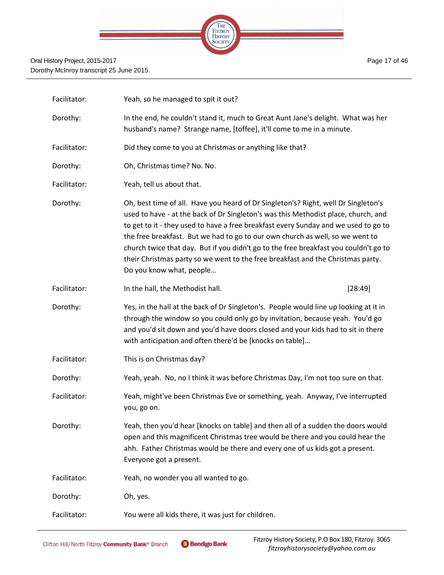

| Facilitator: | Yeah, so he managed to spit it out?                                                                                                                                                                                                                                                                                                                                                                                                                                                                                                                     |         |  |
|--------------|---------------------------------------------------------------------------------------------------------------------------------------------------------------------------------------------------------------------------------------------------------------------------------------------------------------------------------------------------------------------------------------------------------------------------------------------------------------------------------------------------------------------------------------------------------|---------|--|
| Dorothy:     | In the end, he couldn't stand it, much to Great Aunt Jane's delight. What was her<br>husband's name? Strange name, [toffee], it'll come to me in a minute.                                                                                                                                                                                                                                                                                                                                                                                              |         |  |
| Facilitator: | Did they come to you at Christmas or anything like that?                                                                                                                                                                                                                                                                                                                                                                                                                                                                                                |         |  |
| Dorothy:     | Oh, Christmas time? No. No.                                                                                                                                                                                                                                                                                                                                                                                                                                                                                                                             |         |  |
| Facilitator: | Yeah, tell us about that.                                                                                                                                                                                                                                                                                                                                                                                                                                                                                                                               |         |  |
| Dorothy:     | Oh, best time of all. Have you heard of Dr Singleton's? Right, well Dr Singleton's<br>used to have - at the back of Dr Singleton's was this Methodist place, church, and<br>to get to it - they used to have a free breakfast every Sunday and we used to go to<br>the free breakfast. But we had to go to our own church as well, so we went to<br>church twice that day. But if you didn't go to the free breakfast you couldn't go to<br>their Christmas party so we went to the free breakfast and the Christmas party.<br>Do you know what, people |         |  |
| Facilitator: | In the hall, the Methodist hall.                                                                                                                                                                                                                                                                                                                                                                                                                                                                                                                        | [28:49] |  |
| Dorothy:     | Yes, in the hall at the back of Dr Singleton's. People would line up looking at it in<br>through the window so you could only go by invitation, because yeah. You'd go<br>and you'd sit down and you'd have doors closed and your kids had to sit in there<br>with anticipation and often there'd be [knocks on table]                                                                                                                                                                                                                                  |         |  |
| Facilitator: | This is on Christmas day?                                                                                                                                                                                                                                                                                                                                                                                                                                                                                                                               |         |  |
| Dorothy:     | Yeah, yeah. No, no I think it was before Christmas Day, I'm not too sure on that.                                                                                                                                                                                                                                                                                                                                                                                                                                                                       |         |  |
| Facilitator: | Yeah, might've been Christmas Eve or something, yeah. Anyway, I've interrupted<br>you, go on.                                                                                                                                                                                                                                                                                                                                                                                                                                                           |         |  |
| Dorothy:     | Yeah, then you'd hear [knocks on table] and then all of a sudden the doors would<br>open and this magnificent Christmas tree would be there and you could hear the<br>ahh. Father Christmas would be there and every one of us kids got a present.<br>Everyone got a present.                                                                                                                                                                                                                                                                           |         |  |
| Facilitator: | Yeah, no wonder you all wanted to go.                                                                                                                                                                                                                                                                                                                                                                                                                                                                                                                   |         |  |
| Dorothy:     | Oh, yes.                                                                                                                                                                                                                                                                                                                                                                                                                                                                                                                                                |         |  |
| Facilitator: | You were all kids there, it was just for children.                                                                                                                                                                                                                                                                                                                                                                                                                                                                                                      |         |  |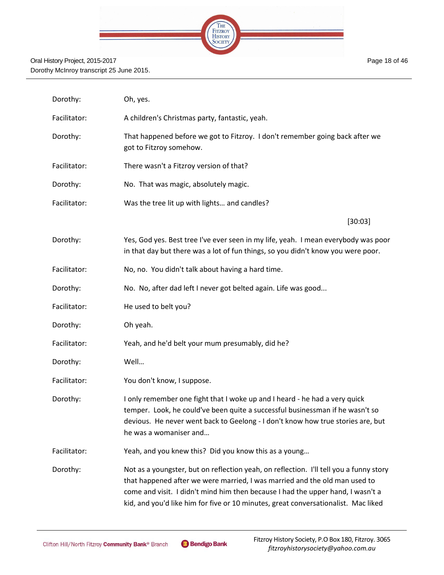

Page 18 of 46

| Dorothy:     | Oh, yes.                                                                                                                                                                                                                                                                                                                                      |
|--------------|-----------------------------------------------------------------------------------------------------------------------------------------------------------------------------------------------------------------------------------------------------------------------------------------------------------------------------------------------|
| Facilitator: | A children's Christmas party, fantastic, yeah.                                                                                                                                                                                                                                                                                                |
| Dorothy:     | That happened before we got to Fitzroy. I don't remember going back after we<br>got to Fitzroy somehow.                                                                                                                                                                                                                                       |
| Facilitator: | There wasn't a Fitzroy version of that?                                                                                                                                                                                                                                                                                                       |
| Dorothy:     | No. That was magic, absolutely magic.                                                                                                                                                                                                                                                                                                         |
| Facilitator: | Was the tree lit up with lights and candles?                                                                                                                                                                                                                                                                                                  |
|              | [30:03]                                                                                                                                                                                                                                                                                                                                       |
| Dorothy:     | Yes, God yes. Best tree I've ever seen in my life, yeah. I mean everybody was poor<br>in that day but there was a lot of fun things, so you didn't know you were poor.                                                                                                                                                                        |
| Facilitator: | No, no. You didn't talk about having a hard time.                                                                                                                                                                                                                                                                                             |
| Dorothy:     | No. No, after dad left I never got belted again. Life was good                                                                                                                                                                                                                                                                                |
| Facilitator: | He used to belt you?                                                                                                                                                                                                                                                                                                                          |
| Dorothy:     | Oh yeah.                                                                                                                                                                                                                                                                                                                                      |
| Facilitator: | Yeah, and he'd belt your mum presumably, did he?                                                                                                                                                                                                                                                                                              |
| Dorothy:     | Well                                                                                                                                                                                                                                                                                                                                          |
| Facilitator: | You don't know, I suppose.                                                                                                                                                                                                                                                                                                                    |
| Dorothy:     | I only remember one fight that I woke up and I heard - he had a very quick<br>temper. Look, he could've been quite a successful businessman if he wasn't so<br>devious. He never went back to Geelong - I don't know how true stories are, but<br>he was a womaniser and                                                                      |
| Facilitator: | Yeah, and you knew this? Did you know this as a young                                                                                                                                                                                                                                                                                         |
| Dorothy:     | Not as a youngster, but on reflection yeah, on reflection. I'll tell you a funny story<br>that happened after we were married, I was married and the old man used to<br>come and visit. I didn't mind him then because I had the upper hand, I wasn't a<br>kid, and you'd like him for five or 10 minutes, great conversationalist. Mac liked |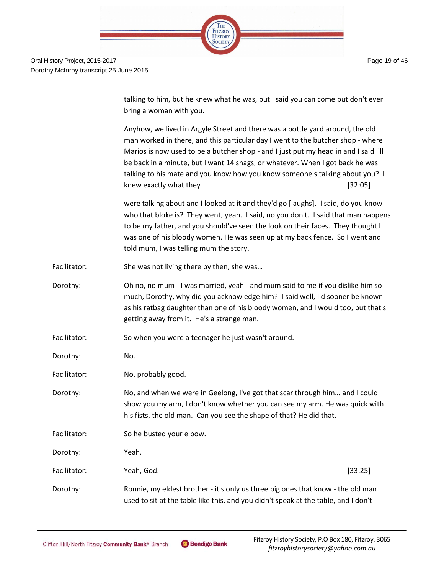Page 19 of 46



talking to him, but he knew what he was, but I said you can come but don't ever bring a woman with you.

Anyhow, we lived in Argyle Street and there was a bottle yard around, the old man worked in there, and this particular day I went to the butcher shop - where Marios is now used to be a butcher shop - and I just put my head in and I said I'll be back in a minute, but I want 14 snags, or whatever. When I got back he was talking to his mate and you know how you know someone's talking about you? I knew exactly what they **contained** [32:05]

were talking about and I looked at it and they'd go [laughs]. I said, do you know who that bloke is? They went, yeah. I said, no you don't. I said that man happens to be my father, and you should've seen the look on their faces. They thought I was one of his bloody women. He was seen up at my back fence. So I went and told mum, I was telling mum the story.

- Facilitator: She was not living there by then, she was...
- Dorothy: Oh no, no mum I was married, yeah and mum said to me if you dislike him so much, Dorothy, why did you acknowledge him? I said well, I'd sooner be known as his ratbag daughter than one of his bloody women, and I would too, but that's getting away from it. He's a strange man.
- Facilitator: So when you were a teenager he just wasn't around.
- Dorothy: No.
- Facilitator: No, probably good.
- Dorothy: No, and when we were in Geelong, I've got that scar through him… and I could show you my arm, I don't know whether you can see my arm. He was quick with his fists, the old man. Can you see the shape of that? He did that.
- Facilitator: So he busted your elbow. Dorothy: Yeah. Facilitator: Yeah, God. [33:25] Dorothy: Ronnie, my eldest brother - it's only us three big ones that know - the old man used to sit at the table like this, and you didn't speak at the table, and I don't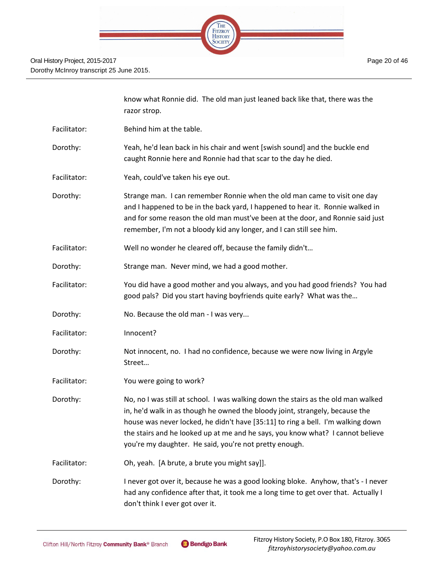

|              | know what Ronnie did. The old man just leaned back like that, there was the<br>razor strop.                                                                                                                                                                                                                                                                                                      |
|--------------|--------------------------------------------------------------------------------------------------------------------------------------------------------------------------------------------------------------------------------------------------------------------------------------------------------------------------------------------------------------------------------------------------|
| Facilitator: | Behind him at the table.                                                                                                                                                                                                                                                                                                                                                                         |
| Dorothy:     | Yeah, he'd lean back in his chair and went [swish sound] and the buckle end<br>caught Ronnie here and Ronnie had that scar to the day he died.                                                                                                                                                                                                                                                   |
| Facilitator: | Yeah, could've taken his eye out.                                                                                                                                                                                                                                                                                                                                                                |
| Dorothy:     | Strange man. I can remember Ronnie when the old man came to visit one day<br>and I happened to be in the back yard, I happened to hear it. Ronnie walked in<br>and for some reason the old man must've been at the door, and Ronnie said just<br>remember, I'm not a bloody kid any longer, and I can still see him.                                                                             |
| Facilitator: | Well no wonder he cleared off, because the family didn't                                                                                                                                                                                                                                                                                                                                         |
| Dorothy:     | Strange man. Never mind, we had a good mother.                                                                                                                                                                                                                                                                                                                                                   |
| Facilitator: | You did have a good mother and you always, and you had good friends? You had<br>good pals? Did you start having boyfriends quite early? What was the                                                                                                                                                                                                                                             |
| Dorothy:     | No. Because the old man - I was very                                                                                                                                                                                                                                                                                                                                                             |
| Facilitator: | Innocent?                                                                                                                                                                                                                                                                                                                                                                                        |
| Dorothy:     | Not innocent, no. I had no confidence, because we were now living in Argyle<br>Street                                                                                                                                                                                                                                                                                                            |
| Facilitator: | You were going to work?                                                                                                                                                                                                                                                                                                                                                                          |
| Dorothy:     | No, no I was still at school. I was walking down the stairs as the old man walked<br>in, he'd walk in as though he owned the bloody joint, strangely, because the<br>house was never locked, he didn't have [35:11] to ring a bell. I'm walking down<br>the stairs and he looked up at me and he says, you know what? I cannot believe<br>you're my daughter. He said, you're not pretty enough. |
| Facilitator: | Oh, yeah. [A brute, a brute you might say]].                                                                                                                                                                                                                                                                                                                                                     |
| Dorothy:     | I never got over it, because he was a good looking bloke. Anyhow, that's - I never<br>had any confidence after that, it took me a long time to get over that. Actually I<br>don't think I ever got over it.                                                                                                                                                                                      |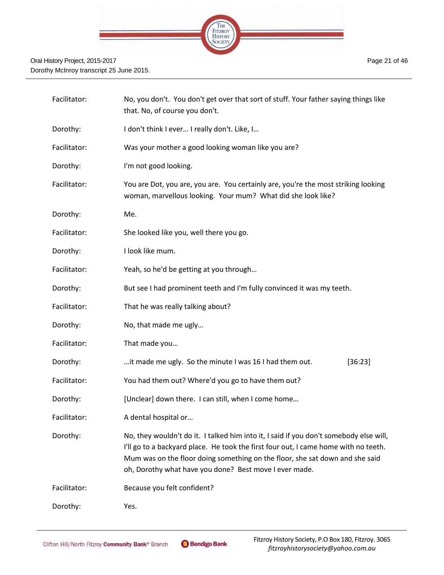

| Facilitator: | No, you don't. You don't get over that sort of stuff. Your father saying things like<br>that. No, of course you don't.                                                                                                                                                                                                  |  |  |
|--------------|-------------------------------------------------------------------------------------------------------------------------------------------------------------------------------------------------------------------------------------------------------------------------------------------------------------------------|--|--|
| Dorothy:     | I don't think I ever I really don't. Like, I                                                                                                                                                                                                                                                                            |  |  |
| Facilitator: | Was your mother a good looking woman like you are?                                                                                                                                                                                                                                                                      |  |  |
| Dorothy:     | I'm not good looking.                                                                                                                                                                                                                                                                                                   |  |  |
| Facilitator: | You are Dot, you are, you are. You certainly are, you're the most striking looking<br>woman, marvellous looking. Your mum? What did she look like?                                                                                                                                                                      |  |  |
| Dorothy:     | Me.                                                                                                                                                                                                                                                                                                                     |  |  |
| Facilitator: | She looked like you, well there you go.                                                                                                                                                                                                                                                                                 |  |  |
| Dorothy:     | I look like mum.                                                                                                                                                                                                                                                                                                        |  |  |
| Facilitator: | Yeah, so he'd be getting at you through                                                                                                                                                                                                                                                                                 |  |  |
| Dorothy:     | But see I had prominent teeth and I'm fully convinced it was my teeth.                                                                                                                                                                                                                                                  |  |  |
| Facilitator: | That he was really talking about?                                                                                                                                                                                                                                                                                       |  |  |
| Dorothy:     | No, that made me ugly                                                                                                                                                                                                                                                                                                   |  |  |
| Facilitator: | That made you                                                                                                                                                                                                                                                                                                           |  |  |
| Dorothy:     | it made me ugly. So the minute I was 16 I had them out.<br>[36:23]                                                                                                                                                                                                                                                      |  |  |
| Facilitator: | You had them out? Where'd you go to have them out?                                                                                                                                                                                                                                                                      |  |  |
| Dorothy:     | [Unclear] down there. I can still, when I come home                                                                                                                                                                                                                                                                     |  |  |
| Facilitator: | A dental hospital or                                                                                                                                                                                                                                                                                                    |  |  |
| Dorothy:     | No, they wouldn't do it. I talked him into it, I said if you don't somebody else will,<br>I'll go to a backyard place. He took the first four out, I came home with no teeth.<br>Mum was on the floor doing something on the floor, she sat down and she said<br>oh, Dorothy what have you done? Best move I ever made. |  |  |
| Facilitator: | Because you felt confident?                                                                                                                                                                                                                                                                                             |  |  |
| Dorothy:     | Yes.                                                                                                                                                                                                                                                                                                                    |  |  |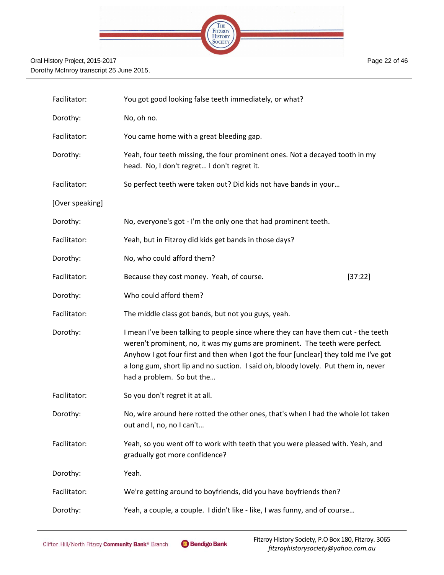

Facilitator: You got good looking false teeth immediately, or what? Dorothy: No, oh no. Facilitator: You came home with a great bleeding gap. Dorothy: Yeah, four teeth missing, the four prominent ones. Not a decayed tooth in my head. No, I don't regret… I don't regret it. Facilitator: So perfect teeth were taken out? Did kids not have bands in your... [Over speaking] Dorothy: No, everyone's got - I'm the only one that had prominent teeth. Facilitator: Yeah, but in Fitzroy did kids get bands in those days? Dorothy: No, who could afford them? Facilitator: Because they cost money. Yeah, of course. [37:22] Dorothy: Who could afford them? Facilitator: The middle class got bands, but not you guys, yeah. Dorothy: I mean I've been talking to people since where they can have them cut - the teeth weren't prominent, no, it was my gums are prominent. The teeth were perfect. Anyhow I got four first and then when I got the four [unclear] they told me I've got a long gum, short lip and no suction. I said oh, bloody lovely. Put them in, never had a problem. So but the… Facilitator: So you don't regret it at all. Dorothy: No, wire around here rotted the other ones, that's when I had the whole lot taken out and I, no, no I can't… Facilitator: Yeah, so you went off to work with teeth that you were pleased with. Yeah, and gradually got more confidence? Dorothy: Yeah. Facilitator: We're getting around to boyfriends, did you have boyfriends then? Dorothy: Yeah, a couple, a couple. I didn't like - like, I was funny, and of course…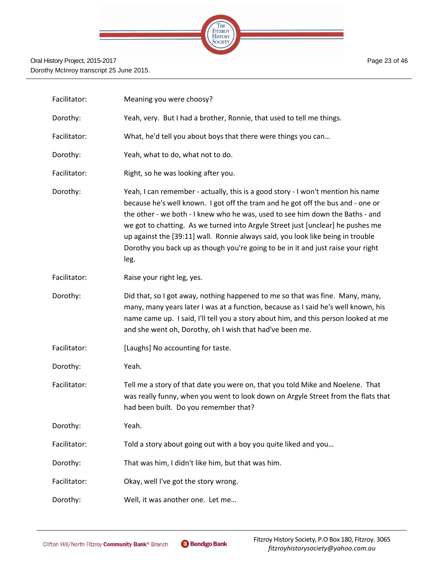

| Facilitator: | Meaning you were choosy?                                                                                                                                                                                                                                                                                                                                                                                                                                                                                               |
|--------------|------------------------------------------------------------------------------------------------------------------------------------------------------------------------------------------------------------------------------------------------------------------------------------------------------------------------------------------------------------------------------------------------------------------------------------------------------------------------------------------------------------------------|
| Dorothy:     | Yeah, very. But I had a brother, Ronnie, that used to tell me things.                                                                                                                                                                                                                                                                                                                                                                                                                                                  |
| Facilitator: | What, he'd tell you about boys that there were things you can                                                                                                                                                                                                                                                                                                                                                                                                                                                          |
| Dorothy:     | Yeah, what to do, what not to do.                                                                                                                                                                                                                                                                                                                                                                                                                                                                                      |
| Facilitator: | Right, so he was looking after you.                                                                                                                                                                                                                                                                                                                                                                                                                                                                                    |
| Dorothy:     | Yeah, I can remember - actually, this is a good story - I won't mention his name<br>because he's well known. I got off the tram and he got off the bus and - one or<br>the other - we both - I knew who he was, used to see him down the Baths - and<br>we got to chatting. As we turned into Argyle Street just [unclear] he pushes me<br>up against the [39:11] wall. Ronnie always said, you look like being in trouble<br>Dorothy you back up as though you're going to be in it and just raise your right<br>leg. |
| Facilitator: | Raise your right leg, yes.                                                                                                                                                                                                                                                                                                                                                                                                                                                                                             |
| Dorothy:     | Did that, so I got away, nothing happened to me so that was fine. Many, many,<br>many, many years later I was at a function, because as I said he's well known, his<br>name came up. I said, I'll tell you a story about him, and this person looked at me<br>and she went oh, Dorothy, oh I wish that had've been me.                                                                                                                                                                                                 |
| Facilitator: | [Laughs] No accounting for taste.                                                                                                                                                                                                                                                                                                                                                                                                                                                                                      |
| Dorothy:     | Yeah.                                                                                                                                                                                                                                                                                                                                                                                                                                                                                                                  |
| Facilitator: | Tell me a story of that date you were on, that you told Mike and Noelene. That<br>was really funny, when you went to look down on Argyle Street from the flats that<br>had been built. Do you remember that?                                                                                                                                                                                                                                                                                                           |
| Dorothy:     | Yeah.                                                                                                                                                                                                                                                                                                                                                                                                                                                                                                                  |

Facilitator: Told a story about going out with a boy you quite liked and you...

Dorothy: That was him, I didn't like him, but that was him.

Facilitator: Okay, well I've got the story wrong.

Dorothy: Well, it was another one. Let me...

Page 23 of 46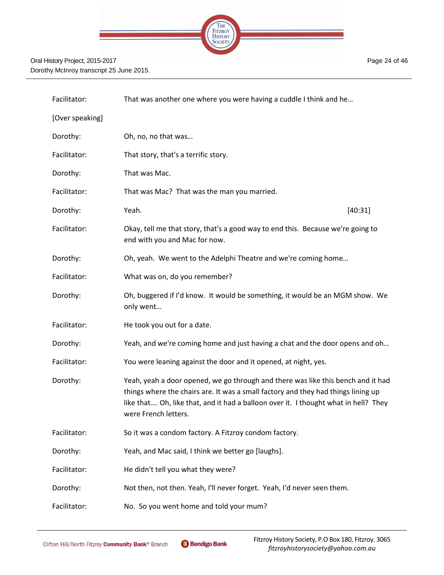

| Facilitator:    | That was another one where you were having a cuddle I think and he                                                                                                                                                                                                                   |
|-----------------|--------------------------------------------------------------------------------------------------------------------------------------------------------------------------------------------------------------------------------------------------------------------------------------|
| [Over speaking] |                                                                                                                                                                                                                                                                                      |
| Dorothy:        | Oh, no, no that was                                                                                                                                                                                                                                                                  |
| Facilitator:    | That story, that's a terrific story.                                                                                                                                                                                                                                                 |
| Dorothy:        | That was Mac.                                                                                                                                                                                                                                                                        |
| Facilitator:    | That was Mac? That was the man you married.                                                                                                                                                                                                                                          |
| Dorothy:        | Yeah.<br>[40:31]                                                                                                                                                                                                                                                                     |
| Facilitator:    | Okay, tell me that story, that's a good way to end this. Because we're going to<br>end with you and Mac for now.                                                                                                                                                                     |
| Dorothy:        | Oh, yeah. We went to the Adelphi Theatre and we're coming home                                                                                                                                                                                                                       |
| Facilitator:    | What was on, do you remember?                                                                                                                                                                                                                                                        |
| Dorothy:        | Oh, buggered if I'd know. It would be something, it would be an MGM show. We<br>only went                                                                                                                                                                                            |
| Facilitator:    | He took you out for a date.                                                                                                                                                                                                                                                          |
| Dorothy:        | Yeah, and we're coming home and just having a chat and the door opens and oh                                                                                                                                                                                                         |
| Facilitator:    | You were leaning against the door and it opened, at night, yes.                                                                                                                                                                                                                      |
| Dorothy:        | Yeah, yeah a door opened, we go through and there was like this bench and it had<br>things where the chairs are. It was a small factory and they had things lining up<br>like that Oh, like that, and it had a balloon over it. I thought what in hell? They<br>were French letters. |
| Facilitator:    | So it was a condom factory. A Fitzroy condom factory.                                                                                                                                                                                                                                |
| Dorothy:        | Yeah, and Mac said, I think we better go [laughs].                                                                                                                                                                                                                                   |
| Facilitator:    | He didn't tell you what they were?                                                                                                                                                                                                                                                   |
| Dorothy:        | Not then, not then. Yeah, I'll never forget. Yeah, I'd never seen them.                                                                                                                                                                                                              |
| Facilitator:    | No. So you went home and told your mum?                                                                                                                                                                                                                                              |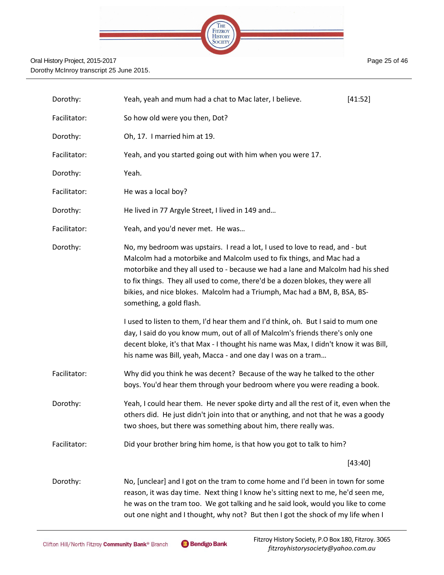

| Dorothy:     | Yeah, yeah and mum had a chat to Mac later, I believe.                                                                                                                                                                                                                                                                                                                                                                              | [41:52] |
|--------------|-------------------------------------------------------------------------------------------------------------------------------------------------------------------------------------------------------------------------------------------------------------------------------------------------------------------------------------------------------------------------------------------------------------------------------------|---------|
| Facilitator: | So how old were you then, Dot?                                                                                                                                                                                                                                                                                                                                                                                                      |         |
| Dorothy:     | Oh, 17. I married him at 19.                                                                                                                                                                                                                                                                                                                                                                                                        |         |
| Facilitator: | Yeah, and you started going out with him when you were 17.                                                                                                                                                                                                                                                                                                                                                                          |         |
| Dorothy:     | Yeah.                                                                                                                                                                                                                                                                                                                                                                                                                               |         |
| Facilitator: | He was a local boy?                                                                                                                                                                                                                                                                                                                                                                                                                 |         |
| Dorothy:     | He lived in 77 Argyle Street, I lived in 149 and                                                                                                                                                                                                                                                                                                                                                                                    |         |
| Facilitator: | Yeah, and you'd never met. He was                                                                                                                                                                                                                                                                                                                                                                                                   |         |
| Dorothy:     | No, my bedroom was upstairs. I read a lot, I used to love to read, and - but<br>Malcolm had a motorbike and Malcolm used to fix things, and Mac had a<br>motorbike and they all used to - because we had a lane and Malcolm had his shed<br>to fix things. They all used to come, there'd be a dozen blokes, they were all<br>bikies, and nice blokes. Malcolm had a Triumph, Mac had a BM, B, BSA, BS-<br>something, a gold flash. |         |
|              | I used to listen to them, I'd hear them and I'd think, oh. But I said to mum one<br>day, I said do you know mum, out of all of Malcolm's friends there's only one<br>decent bloke, it's that Max - I thought his name was Max, I didn't know it was Bill,<br>his name was Bill, yeah, Macca - and one day I was on a tram                                                                                                           |         |
| Facilitator: | Why did you think he was decent? Because of the way he talked to the other<br>boys. You'd hear them through your bedroom where you were reading a book.                                                                                                                                                                                                                                                                             |         |
| Dorothy:     | Yeah, I could hear them. He never spoke dirty and all the rest of it, even when the<br>others did. He just didn't join into that or anything, and not that he was a goody<br>two shoes, but there was something about him, there really was.                                                                                                                                                                                        |         |
| Facilitator: | Did your brother bring him home, is that how you got to talk to him?                                                                                                                                                                                                                                                                                                                                                                |         |
|              |                                                                                                                                                                                                                                                                                                                                                                                                                                     | [43:40] |
| Dorothy:     | No, [unclear] and I got on the tram to come home and I'd been in town for some<br>reason, it was day time. Next thing I know he's sitting next to me, he'd seen me,<br>he was on the tram too. We got talking and he said look, would you like to come<br>out one night and I thought, why not? But then I got the shock of my life when I                                                                                          |         |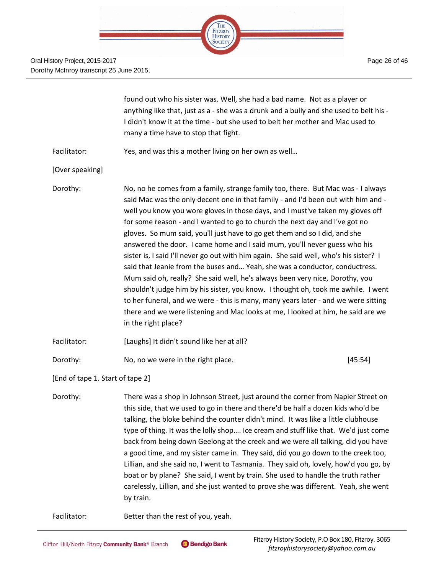THE FITZROY **HISTORY** SOCIETY

found out who his sister was. Well, she had a bad name. Not as a player or anything like that, just as a - she was a drunk and a bully and she used to belt his - I didn't know it at the time - but she used to belt her mother and Mac used to many a time have to stop that fight. Facilitator: Yes, and was this a mother living on her own as well… [Over speaking] Dorothy: No, no he comes from a family, strange family too, there. But Mac was - I always said Mac was the only decent one in that family - and I'd been out with him and well you know you wore gloves in those days, and I must've taken my gloves off for some reason - and I wanted to go to church the next day and I've got no gloves. So mum said, you'll just have to go get them and so I did, and she answered the door. I came home and I said mum, you'll never guess who his sister is, I said I'll never go out with him again. She said well, who's his sister? I said that Jeanie from the buses and… Yeah, she was a conductor, conductress. Mum said oh, really? She said well, he's always been very nice, Dorothy, you shouldn't judge him by his sister, you know. I thought oh, took me awhile. I went to her funeral, and we were - this is many, many years later - and we were sitting there and we were listening and Mac looks at me, I looked at him, he said are we in the right place? Facilitator: [Laughs] It didn't sound like her at all?

Dorothy: No, no we were in the right place. [45:54]

[End of tape 1. Start of tape 2]

Dorothy: There was a shop in Johnson Street, just around the corner from Napier Street on this side, that we used to go in there and there'd be half a dozen kids who'd be talking, the bloke behind the counter didn't mind. It was like a little clubhouse type of thing. It was the lolly shop…. Ice cream and stuff like that. We'd just come back from being down Geelong at the creek and we were all talking, did you have a good time, and my sister came in. They said, did you go down to the creek too, Lillian, and she said no, I went to Tasmania. They said oh, lovely, how'd you go, by boat or by plane? She said, I went by train. She used to handle the truth rather carelessly, Lillian, and she just wanted to prove she was different. Yeah, she went by train.

Facilitator: Better than the rest of you, yeah.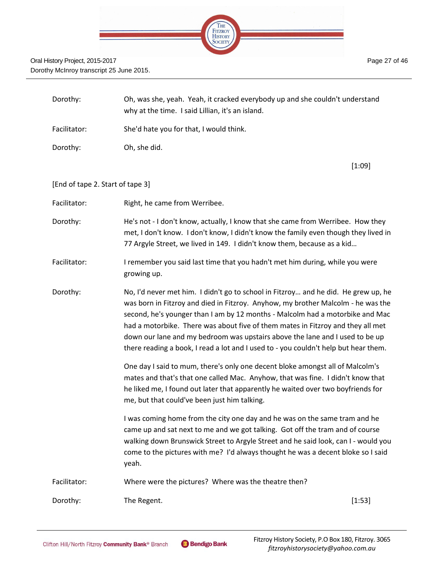

| Dorothy:                         | Oh, was she, yeah. Yeah, it cracked everybody up and she couldn't understand<br>why at the time. I said Lillian, it's an island.                                                                                                                                                                                                                                                                                                                                                                                  |        |
|----------------------------------|-------------------------------------------------------------------------------------------------------------------------------------------------------------------------------------------------------------------------------------------------------------------------------------------------------------------------------------------------------------------------------------------------------------------------------------------------------------------------------------------------------------------|--------|
| Facilitator:                     | She'd hate you for that, I would think.                                                                                                                                                                                                                                                                                                                                                                                                                                                                           |        |
| Dorothy:                         | Oh, she did.                                                                                                                                                                                                                                                                                                                                                                                                                                                                                                      |        |
|                                  |                                                                                                                                                                                                                                                                                                                                                                                                                                                                                                                   | [1:09] |
| [End of tape 2. Start of tape 3] |                                                                                                                                                                                                                                                                                                                                                                                                                                                                                                                   |        |
| Facilitator:                     | Right, he came from Werribee.                                                                                                                                                                                                                                                                                                                                                                                                                                                                                     |        |
| Dorothy:                         | He's not - I don't know, actually, I know that she came from Werribee. How they<br>met, I don't know. I don't know, I didn't know the family even though they lived in<br>77 Argyle Street, we lived in 149. I didn't know them, because as a kid                                                                                                                                                                                                                                                                 |        |
| Facilitator:                     | I remember you said last time that you hadn't met him during, while you were<br>growing up.                                                                                                                                                                                                                                                                                                                                                                                                                       |        |
| Dorothy:                         | No, I'd never met him. I didn't go to school in Fitzroy and he did. He grew up, he<br>was born in Fitzroy and died in Fitzroy. Anyhow, my brother Malcolm - he was the<br>second, he's younger than I am by 12 months - Malcolm had a motorbike and Mac<br>had a motorbike. There was about five of them mates in Fitzroy and they all met<br>down our lane and my bedroom was upstairs above the lane and I used to be up<br>there reading a book, I read a lot and I used to - you couldn't help but hear them. |        |
|                                  | One day I said to mum, there's only one decent bloke amongst all of Malcolm's<br>mates and that's that one called Mac. Anyhow, that was fine. I didn't know that<br>he liked me, I found out later that apparently he waited over two boyfriends for<br>me, but that could've been just him talking.                                                                                                                                                                                                              |        |
|                                  | I was coming home from the city one day and he was on the same tram and he<br>came up and sat next to me and we got talking. Got off the tram and of course<br>walking down Brunswick Street to Argyle Street and he said look, can I - would you<br>come to the pictures with me? I'd always thought he was a decent bloke so I said<br>yeah.                                                                                                                                                                    |        |
| Facilitator:                     | Where were the pictures? Where was the theatre then?                                                                                                                                                                                                                                                                                                                                                                                                                                                              |        |
| Dorothy:                         | The Regent.                                                                                                                                                                                                                                                                                                                                                                                                                                                                                                       | [1:53] |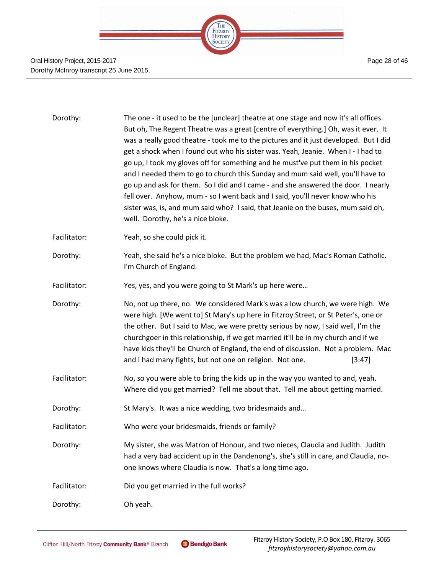

| Dorothy:     | The one - it used to be the [unclear] theatre at one stage and now it's all offices.<br>But oh, The Regent Theatre was a great [centre of everything.] Oh, was it ever. It<br>was a really good theatre - took me to the pictures and it just developed. But I did<br>get a shock when I found out who his sister was. Yeah, Jeanie. When I-I had to<br>go up, I took my gloves off for something and he must've put them in his pocket<br>and I needed them to go to church this Sunday and mum said well, you'll have to<br>go up and ask for them. So I did and I came - and she answered the door. I nearly<br>fell over. Anyhow, mum - so I went back and I said, you'll never know who his<br>sister was, is, and mum said who? I said, that Jeanie on the buses, mum said oh,<br>well. Dorothy, he's a nice bloke. |
|--------------|---------------------------------------------------------------------------------------------------------------------------------------------------------------------------------------------------------------------------------------------------------------------------------------------------------------------------------------------------------------------------------------------------------------------------------------------------------------------------------------------------------------------------------------------------------------------------------------------------------------------------------------------------------------------------------------------------------------------------------------------------------------------------------------------------------------------------|
| Facilitator: | Yeah, so she could pick it.                                                                                                                                                                                                                                                                                                                                                                                                                                                                                                                                                                                                                                                                                                                                                                                               |
| Dorothy:     | Yeah, she said he's a nice bloke. But the problem we had, Mac's Roman Catholic.<br>I'm Church of England.                                                                                                                                                                                                                                                                                                                                                                                                                                                                                                                                                                                                                                                                                                                 |
| Facilitator: | Yes, yes, and you were going to St Mark's up here were                                                                                                                                                                                                                                                                                                                                                                                                                                                                                                                                                                                                                                                                                                                                                                    |
| Dorothy:     | No, not up there, no. We considered Mark's was a low church, we were high. We<br>were high. [We went to] St Mary's up here in Fitzroy Street, or St Peter's, one or<br>the other. But I said to Mac, we were pretty serious by now, I said well, I'm the<br>churchgoer in this relationship, if we get married it'll be in my church and if we<br>have kids they'll be Church of England, the end of discussion. Not a problem. Mac<br>and I had many fights, but not one on religion. Not one.<br>[3:47]                                                                                                                                                                                                                                                                                                                 |
| Facilitator: | No, so you were able to bring the kids up in the way you wanted to and, yeah.<br>Where did you get married? Tell me about that. Tell me about getting married.                                                                                                                                                                                                                                                                                                                                                                                                                                                                                                                                                                                                                                                            |
| Dorothy:     | St Mary's. It was a nice wedding, two bridesmaids and                                                                                                                                                                                                                                                                                                                                                                                                                                                                                                                                                                                                                                                                                                                                                                     |
| Facilitator: | Who were your bridesmaids, friends or family?                                                                                                                                                                                                                                                                                                                                                                                                                                                                                                                                                                                                                                                                                                                                                                             |
| Dorothy:     | My sister, she was Matron of Honour, and two nieces, Claudia and Judith. Judith<br>had a very bad accident up in the Dandenong's, she's still in care, and Claudia, no-<br>one knows where Claudia is now. That's a long time ago.                                                                                                                                                                                                                                                                                                                                                                                                                                                                                                                                                                                        |
| Facilitator: | Did you get married in the full works?                                                                                                                                                                                                                                                                                                                                                                                                                                                                                                                                                                                                                                                                                                                                                                                    |
| Dorothy:     | Oh yeah.                                                                                                                                                                                                                                                                                                                                                                                                                                                                                                                                                                                                                                                                                                                                                                                                                  |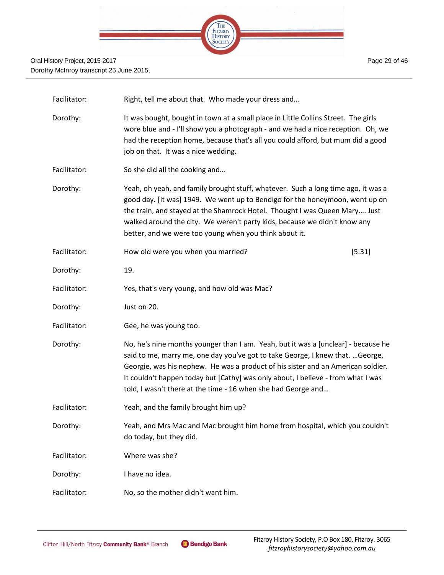

| Facilitator: | Right, tell me about that. Who made your dress and                                                                                                                                                                                                                                                                                                                                                           |        |
|--------------|--------------------------------------------------------------------------------------------------------------------------------------------------------------------------------------------------------------------------------------------------------------------------------------------------------------------------------------------------------------------------------------------------------------|--------|
| Dorothy:     | It was bought, bought in town at a small place in Little Collins Street. The girls<br>wore blue and - I'll show you a photograph - and we had a nice reception. Oh, we<br>had the reception home, because that's all you could afford, but mum did a good<br>job on that. It was a nice wedding.                                                                                                             |        |
| Facilitator: | So she did all the cooking and                                                                                                                                                                                                                                                                                                                                                                               |        |
| Dorothy:     | Yeah, oh yeah, and family brought stuff, whatever. Such a long time ago, it was a<br>good day. [It was] 1949. We went up to Bendigo for the honeymoon, went up on<br>the train, and stayed at the Shamrock Hotel. Thought I was Queen Mary Just<br>walked around the city. We weren't party kids, because we didn't know any<br>better, and we were too young when you think about it.                       |        |
| Facilitator: | How old were you when you married?                                                                                                                                                                                                                                                                                                                                                                           | [5:31] |
| Dorothy:     | 19.                                                                                                                                                                                                                                                                                                                                                                                                          |        |
| Facilitator: | Yes, that's very young, and how old was Mac?                                                                                                                                                                                                                                                                                                                                                                 |        |
| Dorothy:     | Just on 20.                                                                                                                                                                                                                                                                                                                                                                                                  |        |
| Facilitator: | Gee, he was young too.                                                                                                                                                                                                                                                                                                                                                                                       |        |
| Dorothy:     | No, he's nine months younger than I am. Yeah, but it was a [unclear] - because he<br>said to me, marry me, one day you've got to take George, I knew that.  George,<br>Georgie, was his nephew. He was a product of his sister and an American soldier.<br>It couldn't happen today but [Cathy] was only about, I believe - from what I was<br>told, I wasn't there at the time - 16 when she had George and |        |
| Facilitator: | Yeah, and the family brought him up?                                                                                                                                                                                                                                                                                                                                                                         |        |
| Dorothy:     | Yeah, and Mrs Mac and Mac brought him home from hospital, which you couldn't<br>do today, but they did.                                                                                                                                                                                                                                                                                                      |        |
| Facilitator: | Where was she?                                                                                                                                                                                                                                                                                                                                                                                               |        |
| Dorothy:     | I have no idea.                                                                                                                                                                                                                                                                                                                                                                                              |        |
| Facilitator: | No, so the mother didn't want him.                                                                                                                                                                                                                                                                                                                                                                           |        |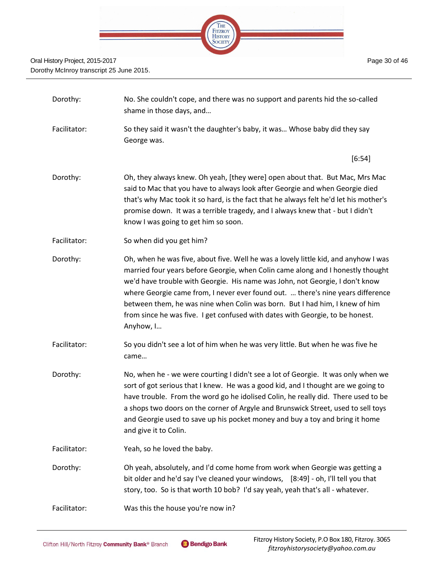

| Dorothy:     | No. She couldn't cope, and there was no support and parents hid the so-called<br>shame in those days, and                                                                                                                                                                                                                                                                                                                                                                                                              |
|--------------|------------------------------------------------------------------------------------------------------------------------------------------------------------------------------------------------------------------------------------------------------------------------------------------------------------------------------------------------------------------------------------------------------------------------------------------------------------------------------------------------------------------------|
| Facilitator: | So they said it wasn't the daughter's baby, it was Whose baby did they say<br>George was.                                                                                                                                                                                                                                                                                                                                                                                                                              |
|              | [6:54]                                                                                                                                                                                                                                                                                                                                                                                                                                                                                                                 |
| Dorothy:     | Oh, they always knew. Oh yeah, [they were] open about that. But Mac, Mrs Mac<br>said to Mac that you have to always look after Georgie and when Georgie died<br>that's why Mac took it so hard, is the fact that he always felt he'd let his mother's<br>promise down. It was a terrible tragedy, and I always knew that - but I didn't<br>know I was going to get him so soon.                                                                                                                                        |
| Facilitator: | So when did you get him?                                                                                                                                                                                                                                                                                                                                                                                                                                                                                               |
| Dorothy:     | Oh, when he was five, about five. Well he was a lovely little kid, and anyhow I was<br>married four years before Georgie, when Colin came along and I honestly thought<br>we'd have trouble with Georgie. His name was John, not Georgie, I don't know<br>where Georgie came from, I never ever found out.  there's nine years difference<br>between them, he was nine when Colin was born. But I had him, I knew of him<br>from since he was five. I get confused with dates with Georgie, to be honest.<br>Anyhow, I |
| Facilitator: | So you didn't see a lot of him when he was very little. But when he was five he<br>came                                                                                                                                                                                                                                                                                                                                                                                                                                |
| Dorothy:     | No, when he - we were courting I didn't see a lot of Georgie. It was only when we<br>sort of got serious that I knew. He was a good kid, and I thought are we going to<br>have trouble. From the word go he idolised Colin, he really did. There used to be<br>a shops two doors on the corner of Argyle and Brunswick Street, used to sell toys<br>and Georgie used to save up his pocket money and buy a toy and bring it home<br>and give it to Colin.                                                              |
| Facilitator: | Yeah, so he loved the baby.                                                                                                                                                                                                                                                                                                                                                                                                                                                                                            |
| Dorothy:     | Oh yeah, absolutely, and I'd come home from work when Georgie was getting a<br>bit older and he'd say I've cleaned your windows, [8:49] - oh, I'll tell you that<br>story, too. So is that worth 10 bob? I'd say yeah, yeah that's all - whatever.                                                                                                                                                                                                                                                                     |
| Facilitator: | Was this the house you're now in?                                                                                                                                                                                                                                                                                                                                                                                                                                                                                      |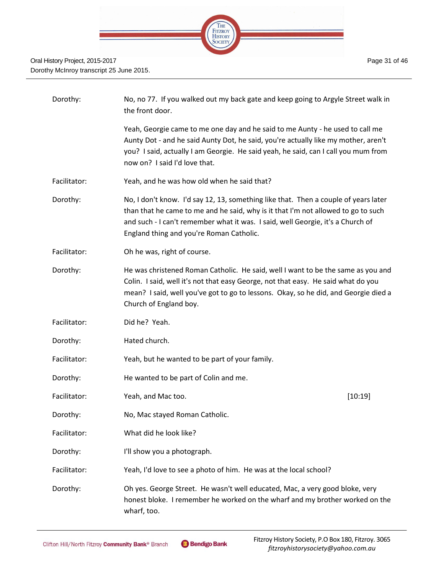

| Dorothy:     | No, no 77. If you walked out my back gate and keep going to Argyle Street walk in<br>the front door.                                                                                                                                                                                                    |         |
|--------------|---------------------------------------------------------------------------------------------------------------------------------------------------------------------------------------------------------------------------------------------------------------------------------------------------------|---------|
|              | Yeah, Georgie came to me one day and he said to me Aunty - he used to call me<br>Aunty Dot - and he said Aunty Dot, he said, you're actually like my mother, aren't<br>you? I said, actually I am Georgie. He said yeah, he said, can I call you mum from<br>now on? I said I'd love that.              |         |
| Facilitator: | Yeah, and he was how old when he said that?                                                                                                                                                                                                                                                             |         |
| Dorothy:     | No, I don't know. I'd say 12, 13, something like that. Then a couple of years later<br>than that he came to me and he said, why is it that I'm not allowed to go to such<br>and such - I can't remember what it was. I said, well Georgie, it's a Church of<br>England thing and you're Roman Catholic. |         |
| Facilitator: | Oh he was, right of course.                                                                                                                                                                                                                                                                             |         |
| Dorothy:     | He was christened Roman Catholic. He said, well I want to be the same as you and<br>Colin. I said, well it's not that easy George, not that easy. He said what do you<br>mean? I said, well you've got to go to lessons. Okay, so he did, and Georgie died a<br>Church of England boy.                  |         |
| Facilitator: | Did he? Yeah.                                                                                                                                                                                                                                                                                           |         |
| Dorothy:     | Hated church.                                                                                                                                                                                                                                                                                           |         |
| Facilitator: | Yeah, but he wanted to be part of your family.                                                                                                                                                                                                                                                          |         |
| Dorothy:     | He wanted to be part of Colin and me.                                                                                                                                                                                                                                                                   |         |
| Facilitator: | Yeah, and Mac too.                                                                                                                                                                                                                                                                                      | [10:19] |
| Dorothy:     | No, Mac stayed Roman Catholic.                                                                                                                                                                                                                                                                          |         |
| Facilitator: | What did he look like?                                                                                                                                                                                                                                                                                  |         |
| Dorothy:     | I'll show you a photograph.                                                                                                                                                                                                                                                                             |         |
| Facilitator: | Yeah, I'd love to see a photo of him. He was at the local school?                                                                                                                                                                                                                                       |         |
| Dorothy:     | Oh yes. George Street. He wasn't well educated, Mac, a very good bloke, very<br>honest bloke. I remember he worked on the wharf and my brother worked on the<br>wharf, too.                                                                                                                             |         |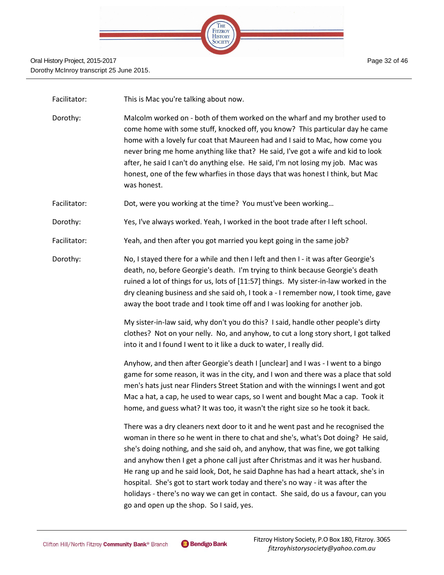

Facilitator: This is Mac you're talking about now.

Dorothy: Malcolm worked on - both of them worked on the wharf and my brother used to come home with some stuff, knocked off, you know? This particular day he came home with a lovely fur coat that Maureen had and I said to Mac, how come you never bring me home anything like that? He said, I've got a wife and kid to look after, he said I can't do anything else. He said, I'm not losing my job. Mac was honest, one of the few wharfies in those days that was honest I think, but Mac was honest.

Facilitator: Dot, were you working at the time? You must've been working...

- Dorothy: Yes, I've always worked. Yeah, I worked in the boot trade after I left school.
- Facilitator: Yeah, and then after you got married you kept going in the same job?
- Dorothy: No, I stayed there for a while and then I left and then I it was after Georgie's death, no, before Georgie's death. I'm trying to think because Georgie's death ruined a lot of things for us, lots of [11:57] things. My sister-in-law worked in the dry cleaning business and she said oh, I took a - I remember now, I took time, gave away the boot trade and I took time off and I was looking for another job.

My sister-in-law said, why don't you do this? I said, handle other people's dirty clothes? Not on your nelly. No, and anyhow, to cut a long story short, I got talked into it and I found I went to it like a duck to water, I really did.

Anyhow, and then after Georgie's death I [unclear] and I was - I went to a bingo game for some reason, it was in the city, and I won and there was a place that sold men's hats just near Flinders Street Station and with the winnings I went and got Mac a hat, a cap, he used to wear caps, so I went and bought Mac a cap. Took it home, and guess what? It was too, it wasn't the right size so he took it back.

There was a dry cleaners next door to it and he went past and he recognised the woman in there so he went in there to chat and she's, what's Dot doing? He said, she's doing nothing, and she said oh, and anyhow, that was fine, we got talking and anyhow then I get a phone call just after Christmas and it was her husband. He rang up and he said look, Dot, he said Daphne has had a heart attack, she's in hospital. She's got to start work today and there's no way - it was after the holidays - there's no way we can get in contact. She said, do us a favour, can you go and open up the shop. So I said, yes.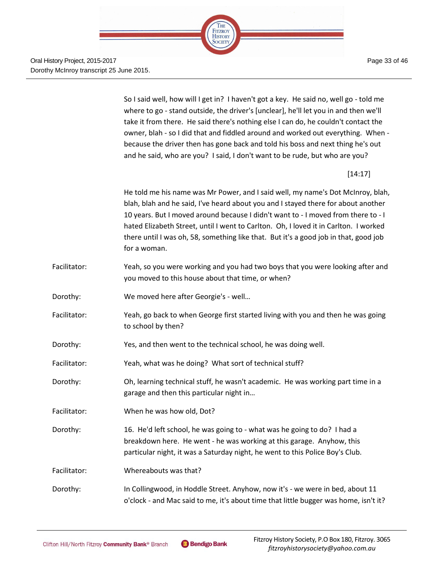

Oral History Project, 2015-2017 Dorothy McInroy transcript 25 June 2015.

> So I said well, how will I get in? I haven't got a key. He said no, well go - told me where to go - stand outside, the driver's [unclear], he'll let you in and then we'll take it from there. He said there's nothing else I can do, he couldn't contact the owner, blah - so I did that and fiddled around and worked out everything. When because the driver then has gone back and told his boss and next thing he's out and he said, who are you? I said, I don't want to be rude, but who are you?

> > [14:17]

He told me his name was Mr Power, and I said well, my name's Dot McInroy, blah, blah, blah and he said, I've heard about you and I stayed there for about another 10 years. But I moved around because I didn't want to - I moved from there to - I hated Elizabeth Street, until I went to Carlton. Oh, I loved it in Carlton. I worked there until I was oh, 58, something like that. But it's a good job in that, good job for a woman.

- Facilitator: Yeah, so you were working and you had two boys that you were looking after and you moved to this house about that time, or when?
- Dorothy: We moved here after Georgie's well…
- Facilitator: Yeah, go back to when George first started living with you and then he was going to school by then?
- Dorothy: Yes, and then went to the technical school, he was doing well.
- Facilitator: Yeah, what was he doing? What sort of technical stuff?
- Dorothy: Oh, learning technical stuff, he wasn't academic. He was working part time in a garage and then this particular night in…
- Facilitator: When he was how old, Dot?
- Dorothy: 16. He'd left school, he was going to what was he going to do? I had a breakdown here. He went - he was working at this garage. Anyhow, this particular night, it was a Saturday night, he went to this Police Boy's Club.

Facilitator: Whereabouts was that?

Dorothy: In Collingwood, in Hoddle Street. Anyhow, now it's - we were in bed, about 11 o'clock - and Mac said to me, it's about time that little bugger was home, isn't it?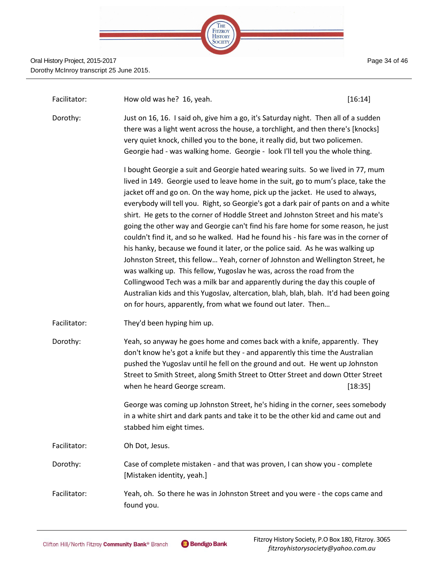

Page 34 of 46

| Facilitator: | How old was he? 16, yeah.                                                                                                                                                                                                                                                                                                                                                                                                                                                                                                                                                                                                                                                                                                                                                                                                                                                                                                                                                                                                                                                                              | [16:14] |
|--------------|--------------------------------------------------------------------------------------------------------------------------------------------------------------------------------------------------------------------------------------------------------------------------------------------------------------------------------------------------------------------------------------------------------------------------------------------------------------------------------------------------------------------------------------------------------------------------------------------------------------------------------------------------------------------------------------------------------------------------------------------------------------------------------------------------------------------------------------------------------------------------------------------------------------------------------------------------------------------------------------------------------------------------------------------------------------------------------------------------------|---------|
| Dorothy:     | Just on 16, 16. I said oh, give him a go, it's Saturday night. Then all of a sudden<br>there was a light went across the house, a torchlight, and then there's [knocks]<br>very quiet knock, chilled you to the bone, it really did, but two policemen.<br>Georgie had - was walking home. Georgie - look I'll tell you the whole thing.                                                                                                                                                                                                                                                                                                                                                                                                                                                                                                                                                                                                                                                                                                                                                               |         |
|              | I bought Georgie a suit and Georgie hated wearing suits. So we lived in 77, mum<br>lived in 149. Georgie used to leave home in the suit, go to mum's place, take the<br>jacket off and go on. On the way home, pick up the jacket. He used to always,<br>everybody will tell you. Right, so Georgie's got a dark pair of pants on and a white<br>shirt. He gets to the corner of Hoddle Street and Johnston Street and his mate's<br>going the other way and Georgie can't find his fare home for some reason, he just<br>couldn't find it, and so he walked. Had he found his - his fare was in the corner of<br>his hanky, because we found it later, or the police said. As he was walking up<br>Johnston Street, this fellow Yeah, corner of Johnston and Wellington Street, he<br>was walking up. This fellow, Yugoslav he was, across the road from the<br>Collingwood Tech was a milk bar and apparently during the day this couple of<br>Australian kids and this Yugoslav, altercation, blah, blah, blah. It'd had been going<br>on for hours, apparently, from what we found out later. Then |         |
| Facilitator: | They'd been hyping him up.                                                                                                                                                                                                                                                                                                                                                                                                                                                                                                                                                                                                                                                                                                                                                                                                                                                                                                                                                                                                                                                                             |         |
| Dorothy:     | Yeah, so anyway he goes home and comes back with a knife, apparently. They<br>don't know he's got a knife but they - and apparently this time the Australian<br>pushed the Yugoslav until he fell on the ground and out. He went up Johnston<br>Street to Smith Street, along Smith Street to Otter Street and down Otter Street<br>when he heard George scream.                                                                                                                                                                                                                                                                                                                                                                                                                                                                                                                                                                                                                                                                                                                                       | [18:35] |
|              | George was coming up Johnston Street, he's hiding in the corner, sees somebody<br>in a white shirt and dark pants and take it to be the other kid and came out and<br>stabbed him eight times.                                                                                                                                                                                                                                                                                                                                                                                                                                                                                                                                                                                                                                                                                                                                                                                                                                                                                                         |         |
| Facilitator: | Oh Dot, Jesus.                                                                                                                                                                                                                                                                                                                                                                                                                                                                                                                                                                                                                                                                                                                                                                                                                                                                                                                                                                                                                                                                                         |         |
| Dorothy:     | Case of complete mistaken - and that was proven, I can show you - complete<br>[Mistaken identity, yeah.]                                                                                                                                                                                                                                                                                                                                                                                                                                                                                                                                                                                                                                                                                                                                                                                                                                                                                                                                                                                               |         |
| Facilitator: | Yeah, oh. So there he was in Johnston Street and you were - the cops came and<br>found you.                                                                                                                                                                                                                                                                                                                                                                                                                                                                                                                                                                                                                                                                                                                                                                                                                                                                                                                                                                                                            |         |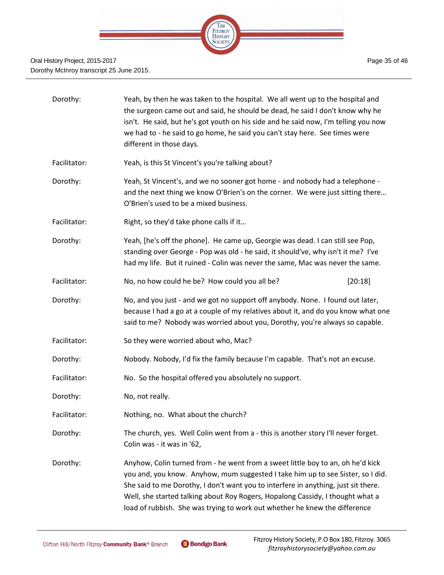

| Dorothy:     | Yeah, by then he was taken to the hospital. We all went up to the hospital and<br>the surgeon came out and said, he should be dead, he said I don't know why he<br>isn't. He said, but he's got youth on his side and he said now, I'm telling you now<br>we had to - he said to go home, he said you can't stay here. See times were<br>different in those days.                                                        |  |
|--------------|--------------------------------------------------------------------------------------------------------------------------------------------------------------------------------------------------------------------------------------------------------------------------------------------------------------------------------------------------------------------------------------------------------------------------|--|
| Facilitator: | Yeah, is this St Vincent's you're talking about?                                                                                                                                                                                                                                                                                                                                                                         |  |
| Dorothy:     | Yeah, St Vincent's, and we no sooner got home - and nobody had a telephone -<br>and the next thing we know O'Brien's on the corner. We were just sitting there<br>O'Brien's used to be a mixed business.                                                                                                                                                                                                                 |  |
| Facilitator: | Right, so they'd take phone calls if it                                                                                                                                                                                                                                                                                                                                                                                  |  |
| Dorothy:     | Yeah, [he's off the phone]. He came up, Georgie was dead. I can still see Pop,<br>standing over George - Pop was old - he said, it should've, why isn't it me? I've<br>had my life. But it ruined - Colin was never the same, Mac was never the same.                                                                                                                                                                    |  |
| Facilitator: | No, no how could he be? How could you all be?<br>[20:18]                                                                                                                                                                                                                                                                                                                                                                 |  |
| Dorothy:     | No, and you just - and we got no support off anybody. None. I found out later,<br>because I had a go at a couple of my relatives about it, and do you know what one<br>said to me? Nobody was worried about you, Dorothy, you're always so capable.                                                                                                                                                                      |  |
| Facilitator: | So they were worried about who, Mac?                                                                                                                                                                                                                                                                                                                                                                                     |  |
| Dorothy:     | Nobody. Nobody, I'd fix the family because I'm capable. That's not an excuse.                                                                                                                                                                                                                                                                                                                                            |  |
| Facilitator: | No. So the hospital offered you absolutely no support.                                                                                                                                                                                                                                                                                                                                                                   |  |
| Dorothy:     | No, not really.                                                                                                                                                                                                                                                                                                                                                                                                          |  |
| Facilitator: | Nothing, no. What about the church?                                                                                                                                                                                                                                                                                                                                                                                      |  |
| Dorothy:     | The church, yes. Well Colin went from a - this is another story I'll never forget.<br>Colin was - it was in '62,                                                                                                                                                                                                                                                                                                         |  |
| Dorothy:     | Anyhow, Colin turned from - he went from a sweet little boy to an, oh he'd kick<br>you and, you know. Anyhow, mum suggested I take him up to see Sister, so I did.<br>She said to me Dorothy, I don't want you to interfere in anything, just sit there.<br>Well, she started talking about Roy Rogers, Hopalong Cassidy, I thought what a<br>load of rubbish. She was trying to work out whether he knew the difference |  |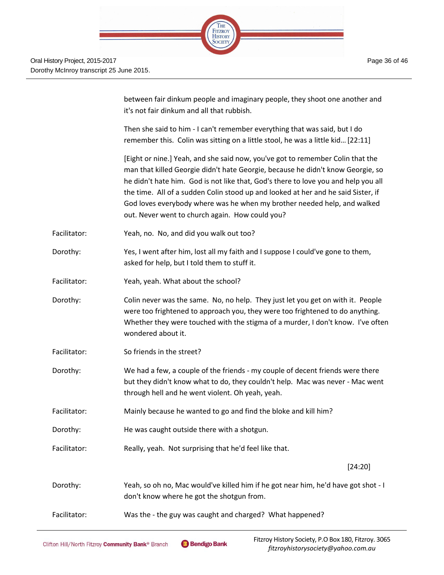

|              | between fair dinkum people and imaginary people, they shoot one another and<br>it's not fair dinkum and all that rubbish.                                                                                                                                                                                                                                                                                                                                                   |
|--------------|-----------------------------------------------------------------------------------------------------------------------------------------------------------------------------------------------------------------------------------------------------------------------------------------------------------------------------------------------------------------------------------------------------------------------------------------------------------------------------|
|              | Then she said to him - I can't remember everything that was said, but I do<br>remember this. Colin was sitting on a little stool, he was a little kid [22:11]                                                                                                                                                                                                                                                                                                               |
|              | [Eight or nine.] Yeah, and she said now, you've got to remember Colin that the<br>man that killed Georgie didn't hate Georgie, because he didn't know Georgie, so<br>he didn't hate him. God is not like that, God's there to love you and help you all<br>the time. All of a sudden Colin stood up and looked at her and he said Sister, if<br>God loves everybody where was he when my brother needed help, and walked<br>out. Never went to church again. How could you? |
| Facilitator: | Yeah, no. No, and did you walk out too?                                                                                                                                                                                                                                                                                                                                                                                                                                     |
| Dorothy:     | Yes, I went after him, lost all my faith and I suppose I could've gone to them,<br>asked for help, but I told them to stuff it.                                                                                                                                                                                                                                                                                                                                             |
| Facilitator: | Yeah, yeah. What about the school?                                                                                                                                                                                                                                                                                                                                                                                                                                          |
| Dorothy:     | Colin never was the same. No, no help. They just let you get on with it. People<br>were too frightened to approach you, they were too frightened to do anything.<br>Whether they were touched with the stigma of a murder, I don't know. I've often<br>wondered about it.                                                                                                                                                                                                   |
| Facilitator: | So friends in the street?                                                                                                                                                                                                                                                                                                                                                                                                                                                   |
| Dorothy:     | We had a few, a couple of the friends - my couple of decent friends were there<br>but they didn't know what to do, they couldn't help. Mac was never - Mac went<br>through hell and he went violent. Oh yeah, yeah.                                                                                                                                                                                                                                                         |
| Facilitator: | Mainly because he wanted to go and find the bloke and kill him?                                                                                                                                                                                                                                                                                                                                                                                                             |
| Dorothy:     | He was caught outside there with a shotgun.                                                                                                                                                                                                                                                                                                                                                                                                                                 |
| Facilitator: | Really, yeah. Not surprising that he'd feel like that.                                                                                                                                                                                                                                                                                                                                                                                                                      |
|              | [24:20]                                                                                                                                                                                                                                                                                                                                                                                                                                                                     |
| Dorothy:     | Yeah, so oh no, Mac would've killed him if he got near him, he'd have got shot - I<br>don't know where he got the shotgun from.                                                                                                                                                                                                                                                                                                                                             |
| Facilitator: | Was the - the guy was caught and charged? What happened?                                                                                                                                                                                                                                                                                                                                                                                                                    |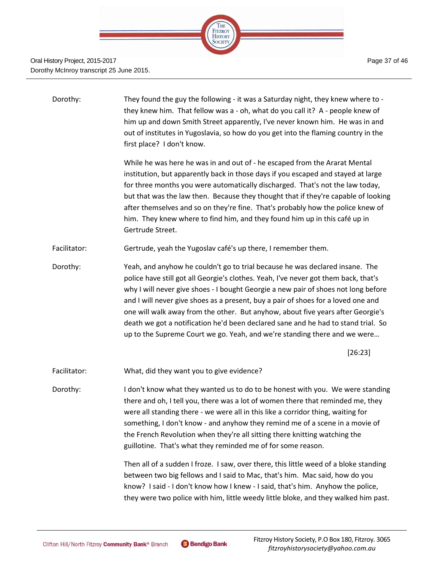

#### Oral History Project, 2015-2017 Dorothy McInroy transcript 25 June 2015.

| Dorothy:     | They found the guy the following - it was a Saturday night, they knew where to -<br>they knew him. That fellow was a - oh, what do you call it? A - people knew of<br>him up and down Smith Street apparently, I've never known him. He was in and<br>out of institutes in Yugoslavia, so how do you get into the flaming country in the<br>first place? I don't know.                                                                                                                                                                                                                              |
|--------------|-----------------------------------------------------------------------------------------------------------------------------------------------------------------------------------------------------------------------------------------------------------------------------------------------------------------------------------------------------------------------------------------------------------------------------------------------------------------------------------------------------------------------------------------------------------------------------------------------------|
|              | While he was here he was in and out of - he escaped from the Ararat Mental<br>institution, but apparently back in those days if you escaped and stayed at large<br>for three months you were automatically discharged. That's not the law today,<br>but that was the law then. Because they thought that if they're capable of looking<br>after themselves and so on they're fine. That's probably how the police knew of<br>him. They knew where to find him, and they found him up in this café up in<br>Gertrude Street.                                                                         |
| Facilitator: | Gertrude, yeah the Yugoslav café's up there, I remember them.                                                                                                                                                                                                                                                                                                                                                                                                                                                                                                                                       |
| Dorothy:     | Yeah, and anyhow he couldn't go to trial because he was declared insane. The<br>police have still got all Georgie's clothes. Yeah, I've never got them back, that's<br>why I will never give shoes - I bought Georgie a new pair of shoes not long before<br>and I will never give shoes as a present, buy a pair of shoes for a loved one and<br>one will walk away from the other. But anyhow, about five years after Georgie's<br>death we got a notification he'd been declared sane and he had to stand trial. So<br>up to the Supreme Court we go. Yeah, and we're standing there and we were |
|              | [26:23]                                                                                                                                                                                                                                                                                                                                                                                                                                                                                                                                                                                             |
| Facilitator: | What, did they want you to give evidence?                                                                                                                                                                                                                                                                                                                                                                                                                                                                                                                                                           |
| Dorothy:     | I don't know what they wanted us to do to be honest with you. We were standing<br>there and oh, I tell you, there was a lot of women there that reminded me, they<br>were all standing there - we were all in this like a corridor thing, waiting for<br>something, I don't know - and anyhow they remind me of a scene in a movie of<br>the French Revolution when they're all sitting there knitting watching the<br>guillotine. That's what they reminded me of for some reason.                                                                                                                 |
|              | Then all of a sudden I froze. I saw, over there, this little weed of a bloke standing<br>between two big fellows and I said to Mac, that's him. Mac said, how do you                                                                                                                                                                                                                                                                                                                                                                                                                                |

ellows and I said to Mac, that's him. Mac said, how do you know? I said - I don't know how I knew - I said, that's him. Anyhow the police, they were two police with him, little weedy little bloke, and they walked him past.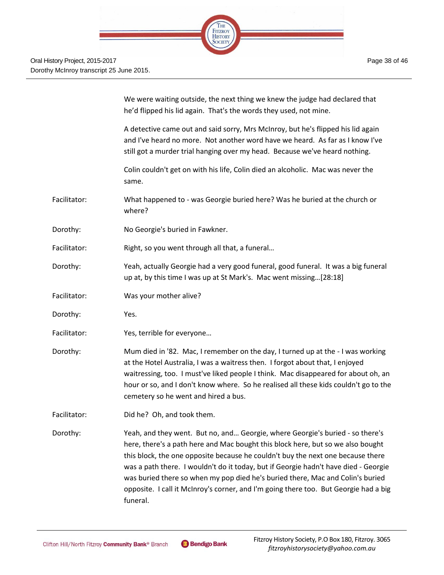|              | We were waiting outside, the next thing we knew the judge had declared that<br>he'd flipped his lid again. That's the words they used, not mine.                                                                                                                                                                                                                                                                                                                                                                     |
|--------------|----------------------------------------------------------------------------------------------------------------------------------------------------------------------------------------------------------------------------------------------------------------------------------------------------------------------------------------------------------------------------------------------------------------------------------------------------------------------------------------------------------------------|
|              | A detective came out and said sorry, Mrs McInroy, but he's flipped his lid again<br>and I've heard no more. Not another word have we heard. As far as I know I've<br>still got a murder trial hanging over my head. Because we've heard nothing.                                                                                                                                                                                                                                                                     |
|              | Colin couldn't get on with his life, Colin died an alcoholic. Mac was never the<br>same.                                                                                                                                                                                                                                                                                                                                                                                                                             |
| Facilitator: | What happened to - was Georgie buried here? Was he buried at the church or<br>where?                                                                                                                                                                                                                                                                                                                                                                                                                                 |
| Dorothy:     | No Georgie's buried in Fawkner.                                                                                                                                                                                                                                                                                                                                                                                                                                                                                      |
| Facilitator: | Right, so you went through all that, a funeral                                                                                                                                                                                                                                                                                                                                                                                                                                                                       |
| Dorothy:     | Yeah, actually Georgie had a very good funeral, good funeral. It was a big funeral<br>up at, by this time I was up at St Mark's. Mac went missing[28:18]                                                                                                                                                                                                                                                                                                                                                             |
| Facilitator: | Was your mother alive?                                                                                                                                                                                                                                                                                                                                                                                                                                                                                               |
| Dorothy:     | Yes.                                                                                                                                                                                                                                                                                                                                                                                                                                                                                                                 |
| Facilitator: | Yes, terrible for everyone                                                                                                                                                                                                                                                                                                                                                                                                                                                                                           |
| Dorothy:     | Mum died in '82. Mac, I remember on the day, I turned up at the - I was working<br>at the Hotel Australia, I was a waitress then. I forgot about that, I enjoyed<br>waitressing, too. I must've liked people I think. Mac disappeared for about oh, an<br>hour or so, and I don't know where. So he realised all these kids couldn't go to the<br>cemetery so he went and hired a bus.                                                                                                                               |
| Facilitator: | Did he? Oh, and took them.                                                                                                                                                                                                                                                                                                                                                                                                                                                                                           |
| Dorothy:     | Yeah, and they went. But no, and Georgie, where Georgie's buried - so there's<br>here, there's a path here and Mac bought this block here, but so we also bought<br>this block, the one opposite because he couldn't buy the next one because there<br>was a path there. I wouldn't do it today, but if Georgie hadn't have died - Georgie<br>was buried there so when my pop died he's buried there, Mac and Colin's buried<br>opposite. I call it McInroy's corner, and I'm going there too. But Georgie had a big |

funeral.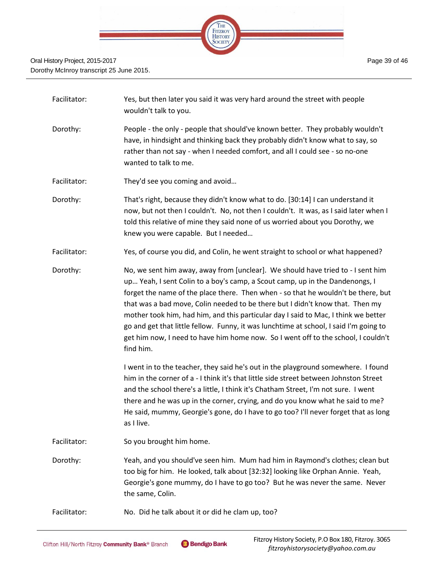

| Facilitator: | Yes, but then later you said it was very hard around the street with people<br>wouldn't talk to you.                                                                                                                                                                                                                                                                                                                                                                                                                                                                                                                   |
|--------------|------------------------------------------------------------------------------------------------------------------------------------------------------------------------------------------------------------------------------------------------------------------------------------------------------------------------------------------------------------------------------------------------------------------------------------------------------------------------------------------------------------------------------------------------------------------------------------------------------------------------|
| Dorothy:     | People - the only - people that should've known better. They probably wouldn't<br>have, in hindsight and thinking back they probably didn't know what to say, so<br>rather than not say - when I needed comfort, and all I could see - so no-one<br>wanted to talk to me.                                                                                                                                                                                                                                                                                                                                              |
| Facilitator: | They'd see you coming and avoid                                                                                                                                                                                                                                                                                                                                                                                                                                                                                                                                                                                        |
| Dorothy:     | That's right, because they didn't know what to do. [30:14] I can understand it<br>now, but not then I couldn't. No, not then I couldn't. It was, as I said later when I<br>told this relative of mine they said none of us worried about you Dorothy, we<br>knew you were capable. But I needed                                                                                                                                                                                                                                                                                                                        |
| Facilitator: | Yes, of course you did, and Colin, he went straight to school or what happened?                                                                                                                                                                                                                                                                                                                                                                                                                                                                                                                                        |
| Dorothy:     | No, we sent him away, away from [unclear]. We should have tried to - I sent him<br>up Yeah, I sent Colin to a boy's camp, a Scout camp, up in the Dandenongs, I<br>forget the name of the place there. Then when - so that he wouldn't be there, but<br>that was a bad move, Colin needed to be there but I didn't know that. Then my<br>mother took him, had him, and this particular day I said to Mac, I think we better<br>go and get that little fellow. Funny, it was lunchtime at school, I said I'm going to<br>get him now, I need to have him home now. So I went off to the school, I couldn't<br>find him. |
|              | I went in to the teacher, they said he's out in the playground somewhere. I found<br>him in the corner of a - I think it's that little side street between Johnston Street<br>and the school there's a little, I think it's Chatham Street, I'm not sure. I went<br>there and he was up in the corner, crying, and do you know what he said to me?<br>He said, mummy, Georgie's gone, do I have to go too? I'll never forget that as long<br>as I live.                                                                                                                                                                |
| Facilitator: | So you brought him home.                                                                                                                                                                                                                                                                                                                                                                                                                                                                                                                                                                                               |
| Dorothy:     | Yeah, and you should've seen him. Mum had him in Raymond's clothes; clean but<br>too big for him. He looked, talk about [32:32] looking like Orphan Annie. Yeah,<br>Georgie's gone mummy, do I have to go too? But he was never the same. Never<br>the same, Colin.                                                                                                                                                                                                                                                                                                                                                    |
| Facilitator: | No. Did he talk about it or did he clam up, too?                                                                                                                                                                                                                                                                                                                                                                                                                                                                                                                                                                       |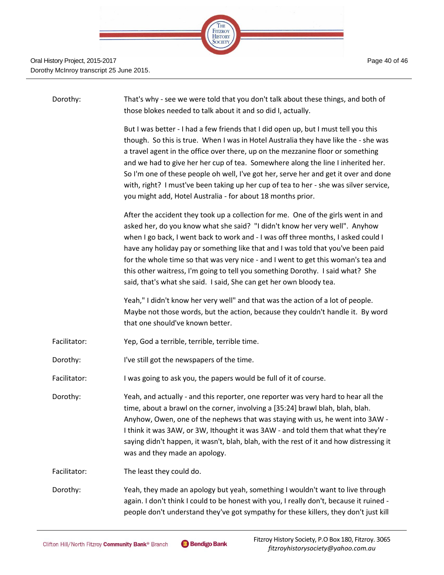

| Dorothy:     | That's why - see we were told that you don't talk about these things, and both of<br>those blokes needed to talk about it and so did I, actually.                                                                                                                                                                                                                                                                                                                                                                                                                                                 |
|--------------|---------------------------------------------------------------------------------------------------------------------------------------------------------------------------------------------------------------------------------------------------------------------------------------------------------------------------------------------------------------------------------------------------------------------------------------------------------------------------------------------------------------------------------------------------------------------------------------------------|
|              | But I was better - I had a few friends that I did open up, but I must tell you this<br>though. So this is true. When I was in Hotel Australia they have like the - she was<br>a travel agent in the office over there, up on the mezzanine floor or something<br>and we had to give her her cup of tea. Somewhere along the line I inherited her.<br>So I'm one of these people oh well, I've got her, serve her and get it over and done<br>with, right? I must've been taking up her cup of tea to her - she was silver service,<br>you might add, Hotel Australia - for about 18 months prior. |
|              | After the accident they took up a collection for me. One of the girls went in and<br>asked her, do you know what she said? "I didn't know her very well". Anyhow<br>when I go back, I went back to work and - I was off three months, I asked could I<br>have any holiday pay or something like that and I was told that you've been paid<br>for the whole time so that was very nice - and I went to get this woman's tea and<br>this other waitress, I'm going to tell you something Dorothy. I said what? She<br>said, that's what she said. I said, She can get her own bloody tea.           |
|              | Yeah," I didn't know her very well" and that was the action of a lot of people.<br>Maybe not those words, but the action, because they couldn't handle it. By word<br>that one should've known better.                                                                                                                                                                                                                                                                                                                                                                                            |
| Facilitator: | Yep, God a terrible, terrible, terrible time.                                                                                                                                                                                                                                                                                                                                                                                                                                                                                                                                                     |
| Dorothy:     | I've still got the newspapers of the time.                                                                                                                                                                                                                                                                                                                                                                                                                                                                                                                                                        |
| Facilitator: | I was going to ask you, the papers would be full of it of course.                                                                                                                                                                                                                                                                                                                                                                                                                                                                                                                                 |
| Dorothy:     | Yeah, and actually - and this reporter, one reporter was very hard to hear all the<br>time, about a brawl on the corner, involving a [35:24] brawl blah, blah, blah.<br>Anyhow, Owen, one of the nephews that was staying with us, he went into 3AW -<br>I think it was 3AW, or 3W, Ithought it was 3AW - and told them that what they're<br>saying didn't happen, it wasn't, blah, blah, with the rest of it and how distressing it<br>was and they made an apology.                                                                                                                             |
| Facilitator: | The least they could do.                                                                                                                                                                                                                                                                                                                                                                                                                                                                                                                                                                          |
| Dorothy:     | Yeah, they made an apology but yeah, something I wouldn't want to live through<br>again. I don't think I could to be honest with you, I really don't, because it ruined -<br>people don't understand they've got sympathy for these killers, they don't just kill                                                                                                                                                                                                                                                                                                                                 |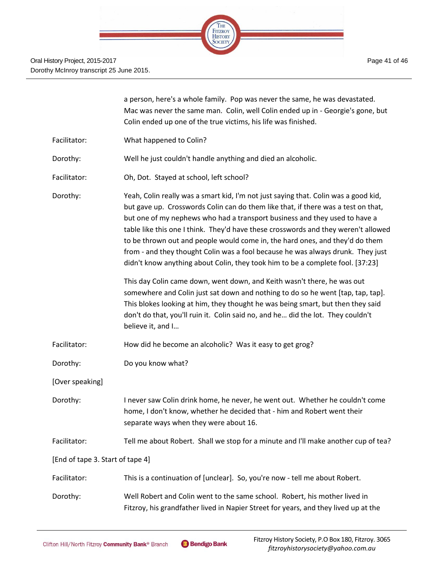

|                                  | a person, here's a whole family. Pop was never the same, he was devastated.<br>Mac was never the same man. Colin, well Colin ended up in - Georgie's gone, but<br>Colin ended up one of the true victims, his life was finished.                                                                                                                                                                                                                                                                                                                                                                  |
|----------------------------------|---------------------------------------------------------------------------------------------------------------------------------------------------------------------------------------------------------------------------------------------------------------------------------------------------------------------------------------------------------------------------------------------------------------------------------------------------------------------------------------------------------------------------------------------------------------------------------------------------|
| Facilitator:                     | What happened to Colin?                                                                                                                                                                                                                                                                                                                                                                                                                                                                                                                                                                           |
| Dorothy:                         | Well he just couldn't handle anything and died an alcoholic.                                                                                                                                                                                                                                                                                                                                                                                                                                                                                                                                      |
| Facilitator:                     | Oh, Dot. Stayed at school, left school?                                                                                                                                                                                                                                                                                                                                                                                                                                                                                                                                                           |
| Dorothy:                         | Yeah, Colin really was a smart kid, I'm not just saying that. Colin was a good kid,<br>but gave up. Crosswords Colin can do them like that, if there was a test on that,<br>but one of my nephews who had a transport business and they used to have a<br>table like this one I think. They'd have these crosswords and they weren't allowed<br>to be thrown out and people would come in, the hard ones, and they'd do them<br>from - and they thought Colin was a fool because he was always drunk. They just<br>didn't know anything about Colin, they took him to be a complete fool. [37:23] |
|                                  | This day Colin came down, went down, and Keith wasn't there, he was out<br>somewhere and Colin just sat down and nothing to do so he went [tap, tap, tap].<br>This blokes looking at him, they thought he was being smart, but then they said<br>don't do that, you'll ruin it. Colin said no, and he did the lot. They couldn't<br>believe it, and I                                                                                                                                                                                                                                             |
| Facilitator:                     | How did he become an alcoholic? Was it easy to get grog?                                                                                                                                                                                                                                                                                                                                                                                                                                                                                                                                          |
| Dorothy:                         | Do you know what?                                                                                                                                                                                                                                                                                                                                                                                                                                                                                                                                                                                 |
| [Over speaking]                  |                                                                                                                                                                                                                                                                                                                                                                                                                                                                                                                                                                                                   |
| Dorothy:                         | I never saw Colin drink home, he never, he went out. Whether he couldn't come<br>home, I don't know, whether he decided that - him and Robert went their<br>separate ways when they were about 16.                                                                                                                                                                                                                                                                                                                                                                                                |
| Facilitator:                     | Tell me about Robert. Shall we stop for a minute and I'll make another cup of tea?                                                                                                                                                                                                                                                                                                                                                                                                                                                                                                                |
| [End of tape 3. Start of tape 4] |                                                                                                                                                                                                                                                                                                                                                                                                                                                                                                                                                                                                   |
| Facilitator:                     | This is a continuation of [unclear]. So, you're now - tell me about Robert.                                                                                                                                                                                                                                                                                                                                                                                                                                                                                                                       |
| Dorothy:                         | Well Robert and Colin went to the same school. Robert, his mother lived in<br>Fitzroy, his grandfather lived in Napier Street for years, and they lived up at the                                                                                                                                                                                                                                                                                                                                                                                                                                 |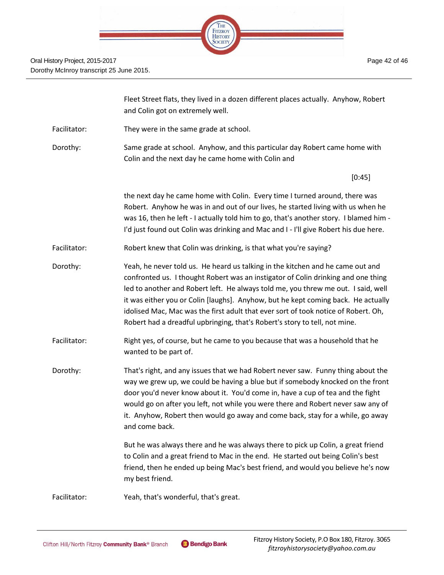

|              | Fleet Street flats, they lived in a dozen different places actually. Anyhow, Robert<br>and Colin got on extremely well.                                                                                                                                                                                                                                                                                                                                                                                           |
|--------------|-------------------------------------------------------------------------------------------------------------------------------------------------------------------------------------------------------------------------------------------------------------------------------------------------------------------------------------------------------------------------------------------------------------------------------------------------------------------------------------------------------------------|
| Facilitator: | They were in the same grade at school.                                                                                                                                                                                                                                                                                                                                                                                                                                                                            |
| Dorothy:     | Same grade at school. Anyhow, and this particular day Robert came home with<br>Colin and the next day he came home with Colin and                                                                                                                                                                                                                                                                                                                                                                                 |
|              | [0:45]                                                                                                                                                                                                                                                                                                                                                                                                                                                                                                            |
|              | the next day he came home with Colin. Every time I turned around, there was<br>Robert. Anyhow he was in and out of our lives, he started living with us when he<br>was 16, then he left - I actually told him to go, that's another story. I blamed him -<br>I'd just found out Colin was drinking and Mac and I - I'll give Robert his due here.                                                                                                                                                                 |
| Facilitator: | Robert knew that Colin was drinking, is that what you're saying?                                                                                                                                                                                                                                                                                                                                                                                                                                                  |
| Dorothy:     | Yeah, he never told us. He heard us talking in the kitchen and he came out and<br>confronted us. I thought Robert was an instigator of Colin drinking and one thing<br>led to another and Robert left. He always told me, you threw me out. I said, well<br>it was either you or Colin [laughs]. Anyhow, but he kept coming back. He actually<br>idolised Mac, Mac was the first adult that ever sort of took notice of Robert. Oh,<br>Robert had a dreadful upbringing, that's Robert's story to tell, not mine. |
| Facilitator: | Right yes, of course, but he came to you because that was a household that he<br>wanted to be part of.                                                                                                                                                                                                                                                                                                                                                                                                            |
| Dorothy:     | That's right, and any issues that we had Robert never saw. Funny thing about the<br>way we grew up, we could be having a blue but if somebody knocked on the front<br>door you'd never know about it. You'd come in, have a cup of tea and the fight<br>would go on after you left, not while you were there and Robert never saw any of<br>it. Anyhow, Robert then would go away and come back, stay for a while, go away<br>and come back.                                                                      |
|              | But he was always there and he was always there to pick up Colin, a great friend<br>to Colin and a great friend to Mac in the end. He started out being Colin's best<br>friend, then he ended up being Mac's best friend, and would you believe he's now<br>my best friend.                                                                                                                                                                                                                                       |
| Facilitator: | Yeah, that's wonderful, that's great.                                                                                                                                                                                                                                                                                                                                                                                                                                                                             |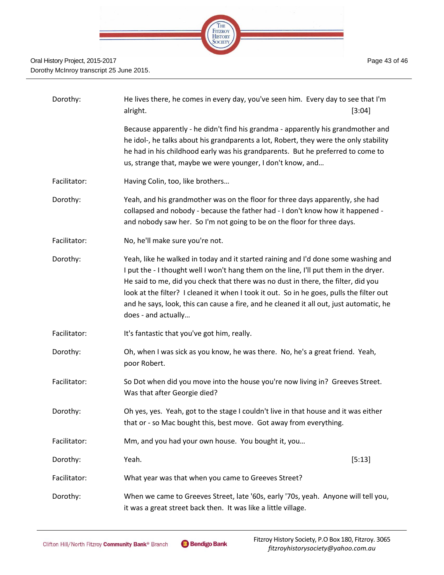

| Dorothy:     | He lives there, he comes in every day, you've seen him. Every day to see that I'm<br>alright.<br>[3:04]                                                                                                                                                                                                                                                                                                                                                                        |
|--------------|--------------------------------------------------------------------------------------------------------------------------------------------------------------------------------------------------------------------------------------------------------------------------------------------------------------------------------------------------------------------------------------------------------------------------------------------------------------------------------|
|              | Because apparently - he didn't find his grandma - apparently his grandmother and<br>he idol-, he talks about his grandparents a lot, Robert, they were the only stability<br>he had in his childhood early was his grandparents. But he preferred to come to<br>us, strange that, maybe we were younger, I don't know, and                                                                                                                                                     |
| Facilitator: | Having Colin, too, like brothers                                                                                                                                                                                                                                                                                                                                                                                                                                               |
| Dorothy:     | Yeah, and his grandmother was on the floor for three days apparently, she had<br>collapsed and nobody - because the father had - I don't know how it happened -<br>and nobody saw her. So I'm not going to be on the floor for three days.                                                                                                                                                                                                                                     |
| Facilitator: | No, he'll make sure you're not.                                                                                                                                                                                                                                                                                                                                                                                                                                                |
| Dorothy:     | Yeah, like he walked in today and it started raining and I'd done some washing and<br>I put the - I thought well I won't hang them on the line, I'll put them in the dryer.<br>He said to me, did you check that there was no dust in there, the filter, did you<br>look at the filter? I cleaned it when I took it out. So in he goes, pulls the filter out<br>and he says, look, this can cause a fire, and he cleaned it all out, just automatic, he<br>does - and actually |
| Facilitator: | It's fantastic that you've got him, really.                                                                                                                                                                                                                                                                                                                                                                                                                                    |
| Dorothy:     | Oh, when I was sick as you know, he was there. No, he's a great friend. Yeah,<br>poor Robert.                                                                                                                                                                                                                                                                                                                                                                                  |
| Facilitator: | So Dot when did you move into the house you're now living in? Greeves Street.<br>Was that after Georgie died?                                                                                                                                                                                                                                                                                                                                                                  |
| Dorothy:     | Oh yes, yes. Yeah, got to the stage I couldn't live in that house and it was either<br>that or - so Mac bought this, best move. Got away from everything.                                                                                                                                                                                                                                                                                                                      |
| Facilitator: | Mm, and you had your own house. You bought it, you                                                                                                                                                                                                                                                                                                                                                                                                                             |
| Dorothy:     | Yeah.<br>[5:13]                                                                                                                                                                                                                                                                                                                                                                                                                                                                |
| Facilitator: | What year was that when you came to Greeves Street?                                                                                                                                                                                                                                                                                                                                                                                                                            |
| Dorothy:     | When we came to Greeves Street, late '60s, early '70s, yeah. Anyone will tell you,<br>it was a great street back then. It was like a little village.                                                                                                                                                                                                                                                                                                                           |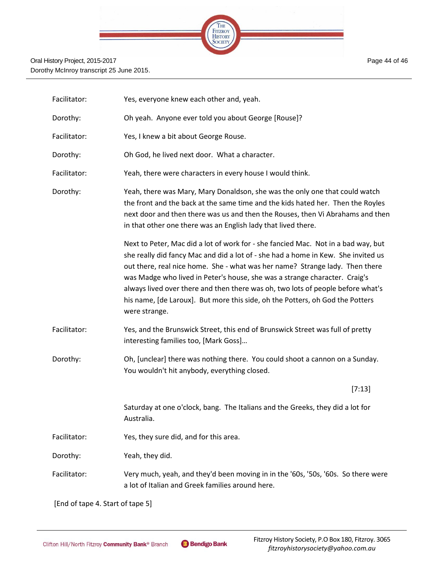

Page 44 of 46

| Facilitator: | Yes, everyone knew each other and, yeah.                                                                                                                                                                                                                                                                                                                                                                                                                                                                                  |
|--------------|---------------------------------------------------------------------------------------------------------------------------------------------------------------------------------------------------------------------------------------------------------------------------------------------------------------------------------------------------------------------------------------------------------------------------------------------------------------------------------------------------------------------------|
| Dorothy:     | Oh yeah. Anyone ever told you about George [Rouse]?                                                                                                                                                                                                                                                                                                                                                                                                                                                                       |
| Facilitator: | Yes, I knew a bit about George Rouse.                                                                                                                                                                                                                                                                                                                                                                                                                                                                                     |
| Dorothy:     | Oh God, he lived next door. What a character.                                                                                                                                                                                                                                                                                                                                                                                                                                                                             |
| Facilitator: | Yeah, there were characters in every house I would think.                                                                                                                                                                                                                                                                                                                                                                                                                                                                 |
| Dorothy:     | Yeah, there was Mary, Mary Donaldson, she was the only one that could watch<br>the front and the back at the same time and the kids hated her. Then the Royles<br>next door and then there was us and then the Rouses, then Vi Abrahams and then<br>in that other one there was an English lady that lived there.                                                                                                                                                                                                         |
|              | Next to Peter, Mac did a lot of work for - she fancied Mac. Not in a bad way, but<br>she really did fancy Mac and did a lot of - she had a home in Kew. She invited us<br>out there, real nice home. She - what was her name? Strange lady. Then there<br>was Madge who lived in Peter's house, she was a strange character. Craig's<br>always lived over there and then there was oh, two lots of people before what's<br>his name, [de Laroux]. But more this side, oh the Potters, oh God the Potters<br>were strange. |
| Facilitator: | Yes, and the Brunswick Street, this end of Brunswick Street was full of pretty<br>interesting families too, [Mark Goss]                                                                                                                                                                                                                                                                                                                                                                                                   |
| Dorothy:     | Oh, [unclear] there was nothing there. You could shoot a cannon on a Sunday.<br>You wouldn't hit anybody, everything closed.                                                                                                                                                                                                                                                                                                                                                                                              |
|              | [7:13]                                                                                                                                                                                                                                                                                                                                                                                                                                                                                                                    |
|              | Saturday at one o'clock, bang. The Italians and the Greeks, they did a lot for<br>Australia.                                                                                                                                                                                                                                                                                                                                                                                                                              |
| Facilitator: | Yes, they sure did, and for this area.                                                                                                                                                                                                                                                                                                                                                                                                                                                                                    |
| Dorothy:     | Yeah, they did.                                                                                                                                                                                                                                                                                                                                                                                                                                                                                                           |
| Facilitator: | Very much, yeah, and they'd been moving in in the '60s, '50s, '60s. So there were<br>a lot of Italian and Greek families around here.                                                                                                                                                                                                                                                                                                                                                                                     |

[End of tape 4. Start of tape 5]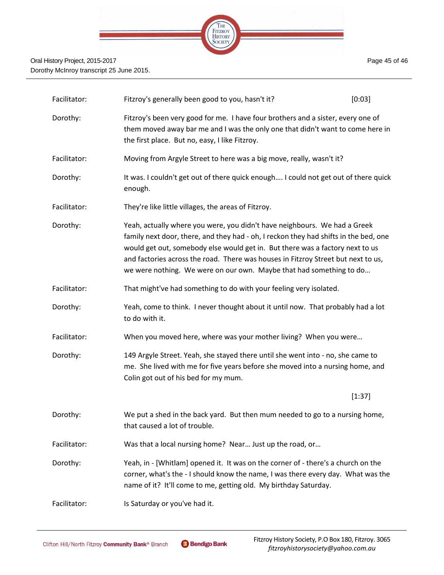

| Facilitator: | Fitzroy's generally been good to you, hasn't it?                                                                                                                                                                                                                                                                                                                                                               | [0:03] |
|--------------|----------------------------------------------------------------------------------------------------------------------------------------------------------------------------------------------------------------------------------------------------------------------------------------------------------------------------------------------------------------------------------------------------------------|--------|
| Dorothy:     | Fitzroy's been very good for me. I have four brothers and a sister, every one of<br>them moved away bar me and I was the only one that didn't want to come here in<br>the first place. But no, easy, I like Fitzroy.                                                                                                                                                                                           |        |
| Facilitator: | Moving from Argyle Street to here was a big move, really, wasn't it?                                                                                                                                                                                                                                                                                                                                           |        |
| Dorothy:     | It was. I couldn't get out of there quick enough I could not get out of there quick<br>enough.                                                                                                                                                                                                                                                                                                                 |        |
| Facilitator: | They're like little villages, the areas of Fitzroy.                                                                                                                                                                                                                                                                                                                                                            |        |
| Dorothy:     | Yeah, actually where you were, you didn't have neighbours. We had a Greek<br>family next door, there, and they had - oh, I reckon they had shifts in the bed, one<br>would get out, somebody else would get in. But there was a factory next to us<br>and factories across the road. There was houses in Fitzroy Street but next to us,<br>we were nothing. We were on our own. Maybe that had something to do |        |
| Facilitator: | That might've had something to do with your feeling very isolated.                                                                                                                                                                                                                                                                                                                                             |        |
| Dorothy:     | Yeah, come to think. I never thought about it until now. That probably had a lot<br>to do with it.                                                                                                                                                                                                                                                                                                             |        |
| Facilitator: | When you moved here, where was your mother living? When you were                                                                                                                                                                                                                                                                                                                                               |        |
| Dorothy:     | 149 Argyle Street. Yeah, she stayed there until she went into - no, she came to<br>me. She lived with me for five years before she moved into a nursing home, and<br>Colin got out of his bed for my mum.                                                                                                                                                                                                      |        |
|              |                                                                                                                                                                                                                                                                                                                                                                                                                | [1:37] |
| Dorothy:     | We put a shed in the back yard. But then mum needed to go to a nursing home<br>that caused a lot of trouble.                                                                                                                                                                                                                                                                                                   |        |
| Facilitator: | Was that a local nursing home? Near Just up the road, or                                                                                                                                                                                                                                                                                                                                                       |        |
| Dorothy:     | Yeah, in - [Whitlam] opened it. It was on the corner of - there's a church on the<br>corner, what's the - I should know the name, I was there every day. What was the<br>name of it? It'll come to me, getting old. My birthday Saturday.                                                                                                                                                                      |        |
| Facilitator: | Is Saturday or you've had it.                                                                                                                                                                                                                                                                                                                                                                                  |        |